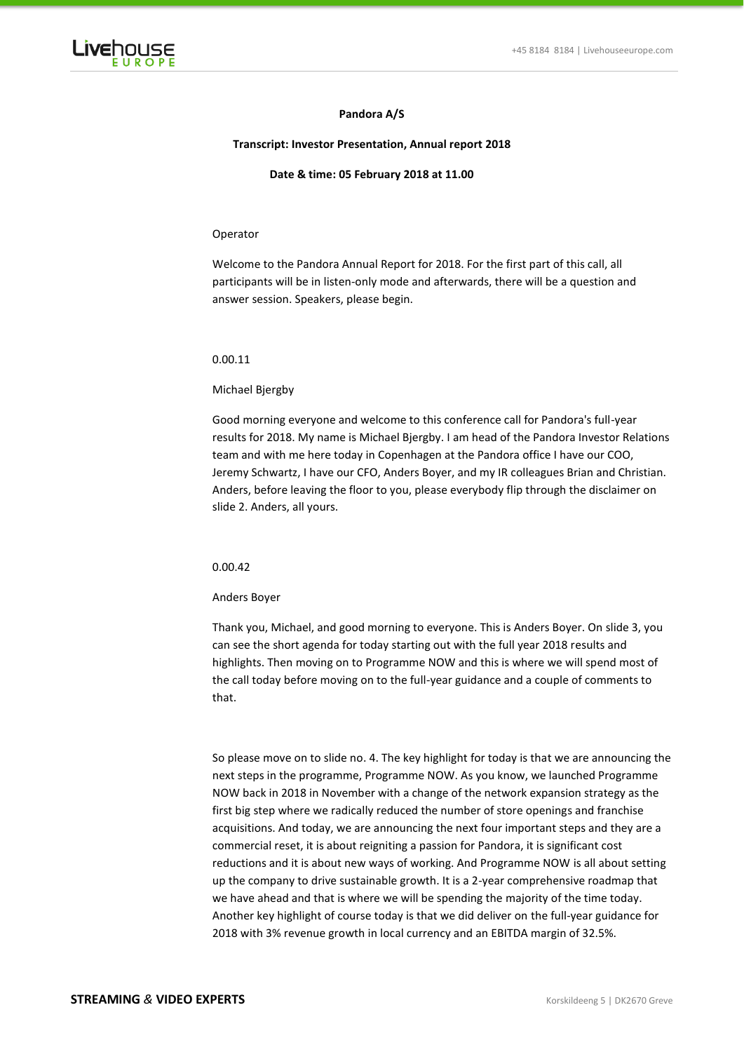

# **Pandora A/S**

### **Transcript: Investor Presentation, Annual report 2018**

#### **Date & time: 05 February 2018 at 11.00**

### Operator

Welcome to the Pandora Annual Report for 2018. For the first part of this call, all participants will be in listen-only mode and afterwards, there will be a question and answer session. Speakers, please begin.

#### 0.00.11

### Michael Bjergby

Good morning everyone and welcome to this conference call for Pandora's full-year results for 2018. My name is Michael Bjergby. I am head of the Pandora Investor Relations team and with me here today in Copenhagen at the Pandora office I have our COO, Jeremy Schwartz, I have our CFO, Anders Boyer, and my IR colleagues Brian and Christian. Anders, before leaving the floor to you, please everybody flip through the disclaimer on slide 2. Anders, all yours.

# 0.00.42

#### Anders Boyer

Thank you, Michael, and good morning to everyone. This is Anders Boyer. On slide 3, you can see the short agenda for today starting out with the full year 2018 results and highlights. Then moving on to Programme NOW and this is where we will spend most of the call today before moving on to the full-year guidance and a couple of comments to that.

So please move on to slide no. 4. The key highlight for today is that we are announcing the next steps in the programme, Programme NOW. As you know, we launched Programme NOW back in 2018 in November with a change of the network expansion strategy as the first big step where we radically reduced the number of store openings and franchise acquisitions. And today, we are announcing the next four important steps and they are a commercial reset, it is about reigniting a passion for Pandora, it is significant cost reductions and it is about new ways of working. And Programme NOW is all about setting up the company to drive sustainable growth. It is a 2-year comprehensive roadmap that we have ahead and that is where we will be spending the majority of the time today. Another key highlight of course today is that we did deliver on the full-year guidance for 2018 with 3% revenue growth in local currency and an EBITDA margin of 32.5%.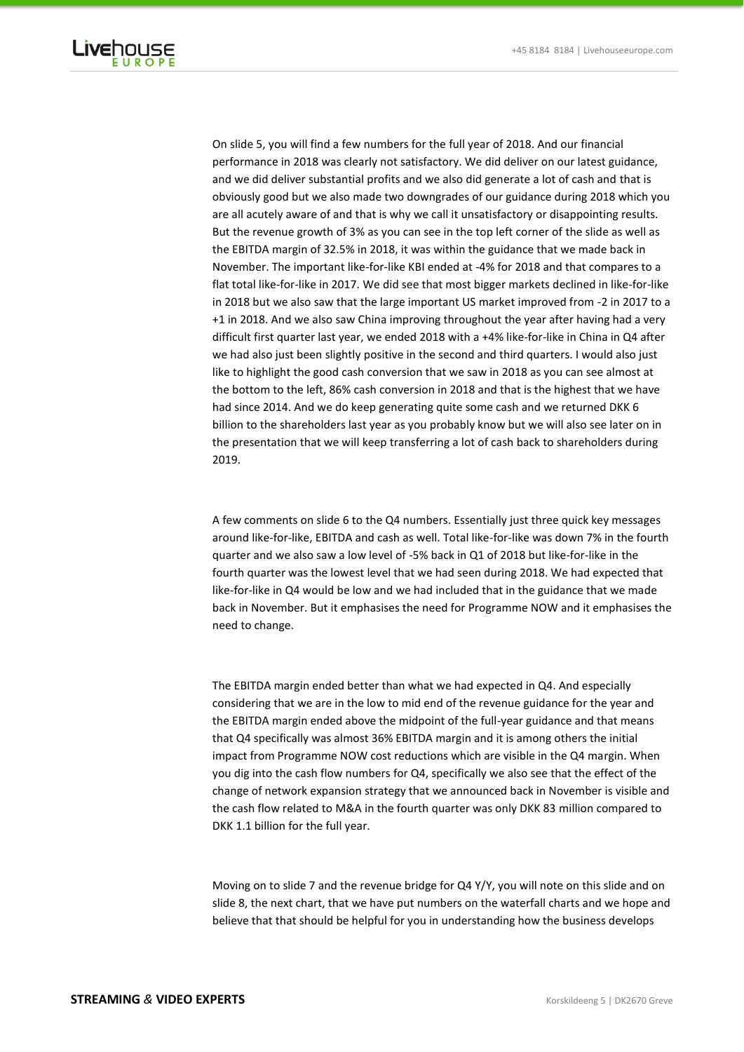

On slide 5, you will find a few numbers for the full year of 2018. And our financial performance in 2018 was clearly not satisfactory. We did deliver on our latest guidance, and we did deliver substantial profits and we also did generate a lot of cash and that is obviously good but we also made two downgrades of our guidance during 2018 which you are all acutely aware of and that is why we call it unsatisfactory or disappointing results. But the revenue growth of 3% as you can see in the top left corner of the slide as well as the EBITDA margin of 32.5% in 2018, it was within the guidance that we made back in November. The important like-for-like KBI ended at -4% for 2018 and that compares to a flat total like-for-like in 2017. We did see that most bigger markets declined in like-for-like in 2018 but we also saw that the large important US market improved from -2 in 2017 to a +1 in 2018. And we also saw China improving throughout the year after having had a very difficult first quarter last year, we ended 2018 with a +4% like-for-like in China in Q4 after we had also just been slightly positive in the second and third quarters. I would also just like to highlight the good cash conversion that we saw in 2018 as you can see almost at the bottom to the left, 86% cash conversion in 2018 and that is the highest that we have had since 2014. And we do keep generating quite some cash and we returned DKK 6 billion to the shareholders last year as you probably know but we will also see later on in the presentation that we will keep transferring a lot of cash back to shareholders during 2019.

A few comments on slide 6 to the Q4 numbers. Essentially just three quick key messages around like-for-like, EBITDA and cash as well. Total like-for-like was down 7% in the fourth quarter and we also saw a low level of -5% back in Q1 of 2018 but like-for-like in the fourth quarter was the lowest level that we had seen during 2018. We had expected that like-for-like in Q4 would be low and we had included that in the guidance that we made back in November. But it emphasises the need for Programme NOW and it emphasises the need to change.

The EBITDA margin ended better than what we had expected in Q4. And especially considering that we are in the low to mid end of the revenue guidance for the year and the EBITDA margin ended above the midpoint of the full-year guidance and that means that Q4 specifically was almost 36% EBITDA margin and it is among others the initial impact from Programme NOW cost reductions which are visible in the Q4 margin. When you dig into the cash flow numbers for Q4, specifically we also see that the effect of the change of network expansion strategy that we announced back in November is visible and the cash flow related to M&A in the fourth quarter was only DKK 83 million compared to DKK 1.1 billion for the full year.

Moving on to slide 7 and the revenue bridge for Q4 Y/Y, you will note on this slide and on slide 8, the next chart, that we have put numbers on the waterfall charts and we hope and believe that that should be helpful for you in understanding how the business develops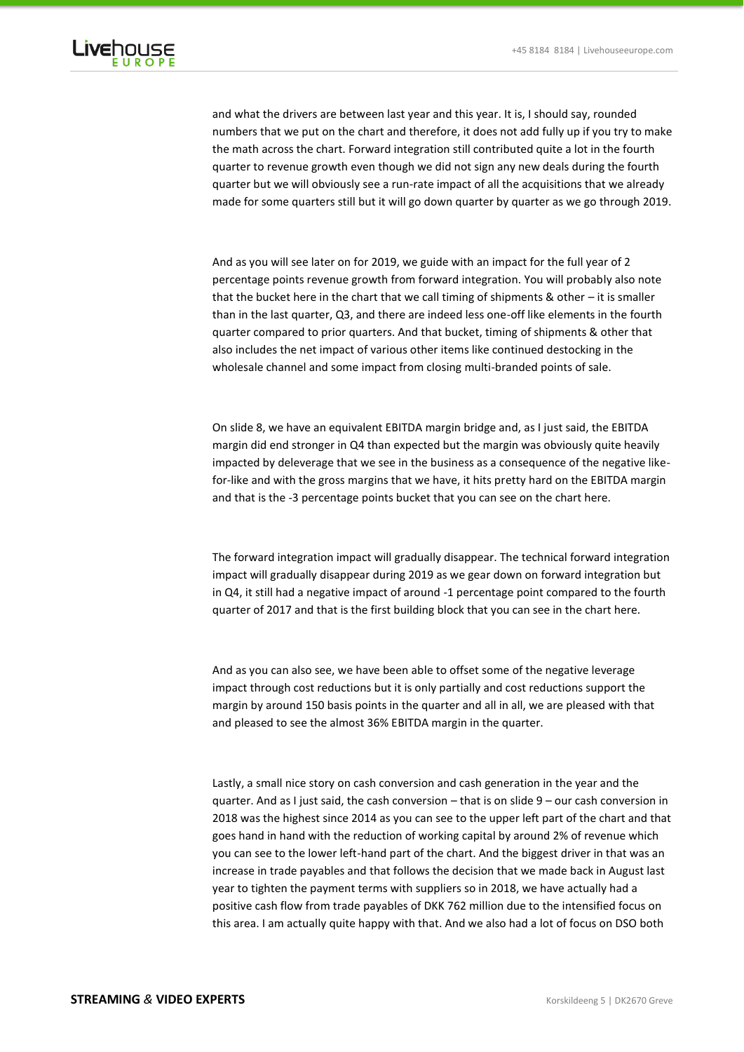

and what the drivers are between last year and this year. It is, I should say, rounded numbers that we put on the chart and therefore, it does not add fully up if you try to make the math across the chart. Forward integration still contributed quite a lot in the fourth quarter to revenue growth even though we did not sign any new deals during the fourth quarter but we will obviously see a run-rate impact of all the acquisitions that we already made for some quarters still but it will go down quarter by quarter as we go through 2019.

And as you will see later on for 2019, we guide with an impact for the full year of 2 percentage points revenue growth from forward integration. You will probably also note that the bucket here in the chart that we call timing of shipments & other – it is smaller than in the last quarter, Q3, and there are indeed less one-off like elements in the fourth quarter compared to prior quarters. And that bucket, timing of shipments & other that also includes the net impact of various other items like continued destocking in the wholesale channel and some impact from closing multi-branded points of sale.

On slide 8, we have an equivalent EBITDA margin bridge and, as I just said, the EBITDA margin did end stronger in Q4 than expected but the margin was obviously quite heavily impacted by deleverage that we see in the business as a consequence of the negative likefor-like and with the gross margins that we have, it hits pretty hard on the EBITDA margin and that is the -3 percentage points bucket that you can see on the chart here.

The forward integration impact will gradually disappear. The technical forward integration impact will gradually disappear during 2019 as we gear down on forward integration but in Q4, it still had a negative impact of around -1 percentage point compared to the fourth quarter of 2017 and that is the first building block that you can see in the chart here.

And as you can also see, we have been able to offset some of the negative leverage impact through cost reductions but it is only partially and cost reductions support the margin by around 150 basis points in the quarter and all in all, we are pleased with that and pleased to see the almost 36% EBITDA margin in the quarter.

Lastly, a small nice story on cash conversion and cash generation in the year and the quarter. And as I just said, the cash conversion – that is on slide 9 – our cash conversion in 2018 was the highest since 2014 as you can see to the upper left part of the chart and that goes hand in hand with the reduction of working capital by around 2% of revenue which you can see to the lower left-hand part of the chart. And the biggest driver in that was an increase in trade payables and that follows the decision that we made back in August last year to tighten the payment terms with suppliers so in 2018, we have actually had a positive cash flow from trade payables of DKK 762 million due to the intensified focus on this area. I am actually quite happy with that. And we also had a lot of focus on DSO both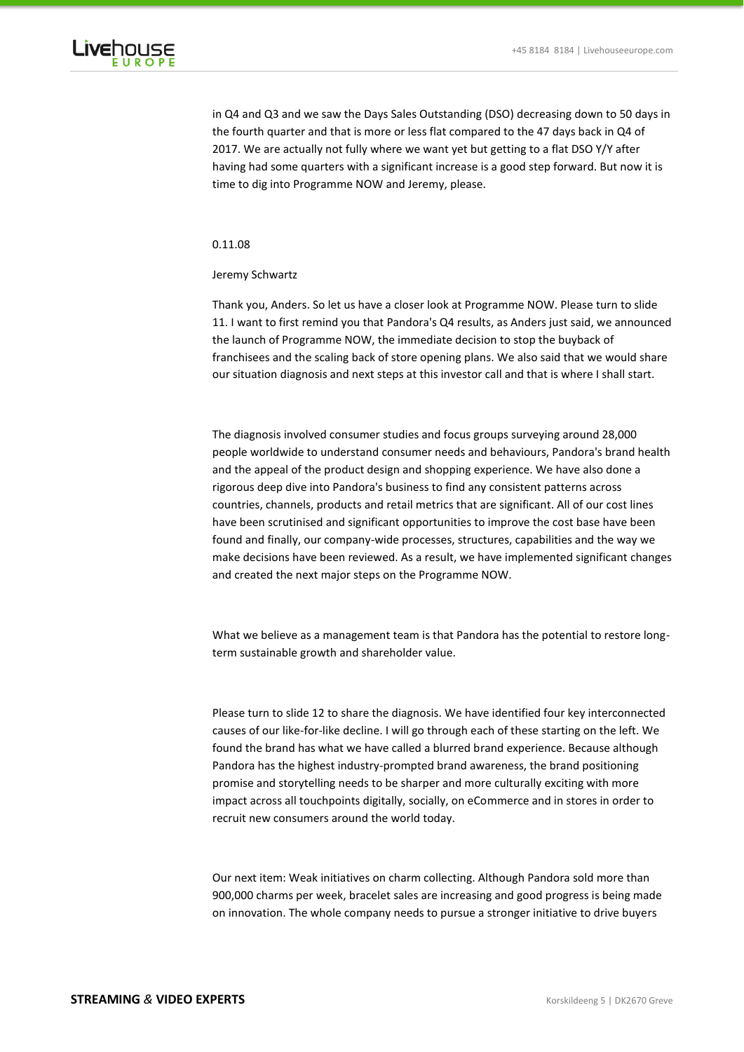

in Q4 and Q3 and we saw the Days Sales Outstanding (DSO) decreasing down to 50 days in the fourth quarter and that is more or less flat compared to the 47 days back in Q4 of 2017. We are actually not fully where we want yet but getting to a flat DSO Y/Y after having had some quarters with a significant increase is a good step forward. But now it is time to dig into Programme NOW and Jeremy, please.

# 0.11.08

# Jeremy Schwartz

Thank you, Anders. So let us have a closer look at Programme NOW. Please turn to slide 11. I want to first remind you that Pandora's Q4 results, as Anders just said, we announced the launch of Programme NOW, the immediate decision to stop the buyback of franchisees and the scaling back of store opening plans. We also said that we would share our situation diagnosis and next steps at this investor call and that is where I shall start.

The diagnosis involved consumer studies and focus groups surveying around 28,000 people worldwide to understand consumer needs and behaviours, Pandora's brand health and the appeal of the product design and shopping experience. We have also done a rigorous deep dive into Pandora's business to find any consistent patterns across countries, channels, products and retail metrics that are significant. All of our cost lines have been scrutinised and significant opportunities to improve the cost base have been found and finally, our company-wide processes, structures, capabilities and the way we make decisions have been reviewed. As a result, we have implemented significant changes and created the next major steps on the Programme NOW.

What we believe as a management team is that Pandora has the potential to restore longterm sustainable growth and shareholder value.

Please turn to slide 12 to share the diagnosis. We have identified four key interconnected causes of our like-for-like decline. I will go through each of these starting on the left. We found the brand has what we have called a blurred brand experience. Because although Pandora has the highest industry-prompted brand awareness, the brand positioning promise and storytelling needs to be sharper and more culturally exciting with more impact across all touchpoints digitally, socially, on eCommerce and in stores in order to recruit new consumers around the world today.

Our next item: Weak initiatives on charm collecting. Although Pandora sold more than 900,000 charms per week, bracelet sales are increasing and good progress is being made on innovation. The whole company needs to pursue a stronger initiative to drive buyers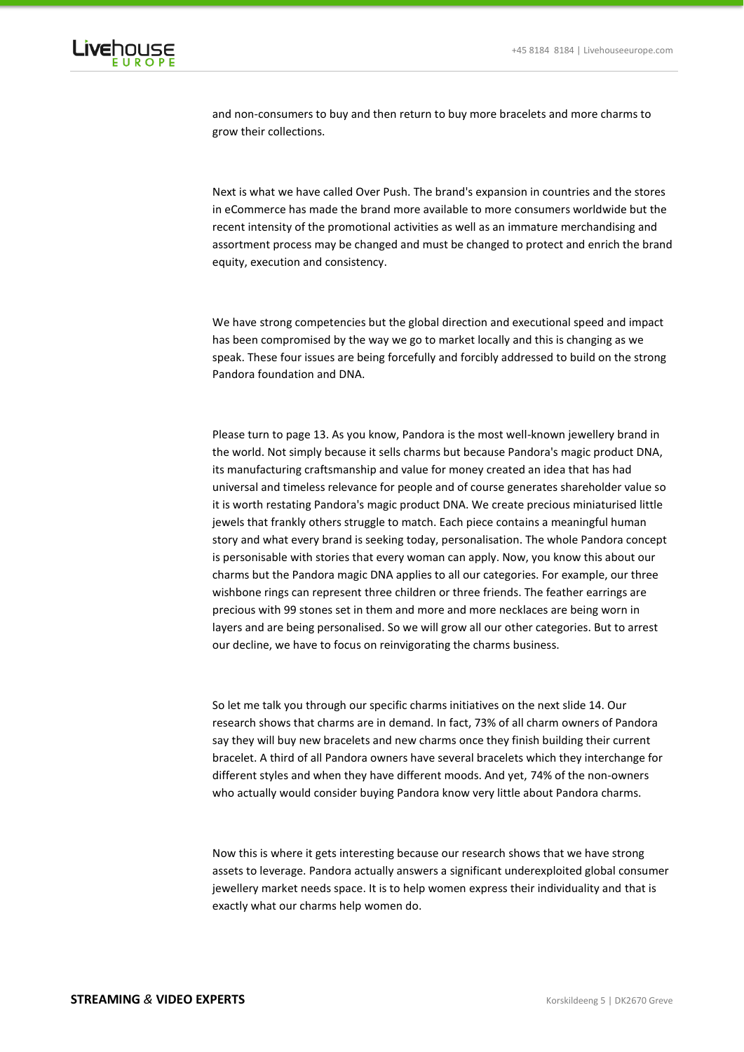

and non-consumers to buy and then return to buy more bracelets and more charms to grow their collections.

Next is what we have called Over Push. The brand's expansion in countries and the stores in eCommerce has made the brand more available to more consumers worldwide but the recent intensity of the promotional activities as well as an immature merchandising and assortment process may be changed and must be changed to protect and enrich the brand equity, execution and consistency.

We have strong competencies but the global direction and executional speed and impact has been compromised by the way we go to market locally and this is changing as we speak. These four issues are being forcefully and forcibly addressed to build on the strong Pandora foundation and DNA.

Please turn to page 13. As you know, Pandora is the most well-known jewellery brand in the world. Not simply because it sells charms but because Pandora's magic product DNA, its manufacturing craftsmanship and value for money created an idea that has had universal and timeless relevance for people and of course generates shareholder value so it is worth restating Pandora's magic product DNA. We create precious miniaturised little jewels that frankly others struggle to match. Each piece contains a meaningful human story and what every brand is seeking today, personalisation. The whole Pandora concept is personisable with stories that every woman can apply. Now, you know this about our charms but the Pandora magic DNA applies to all our categories. For example, our three wishbone rings can represent three children or three friends. The feather earrings are precious with 99 stones set in them and more and more necklaces are being worn in layers and are being personalised. So we will grow all our other categories. But to arrest our decline, we have to focus on reinvigorating the charms business.

So let me talk you through our specific charms initiatives on the next slide 14. Our research shows that charms are in demand. In fact, 73% of all charm owners of Pandora say they will buy new bracelets and new charms once they finish building their current bracelet. A third of all Pandora owners have several bracelets which they interchange for different styles and when they have different moods. And yet, 74% of the non-owners who actually would consider buying Pandora know very little about Pandora charms.

Now this is where it gets interesting because our research shows that we have strong assets to leverage. Pandora actually answers a significant underexploited global consumer jewellery market needs space. It is to help women express their individuality and that is exactly what our charms help women do.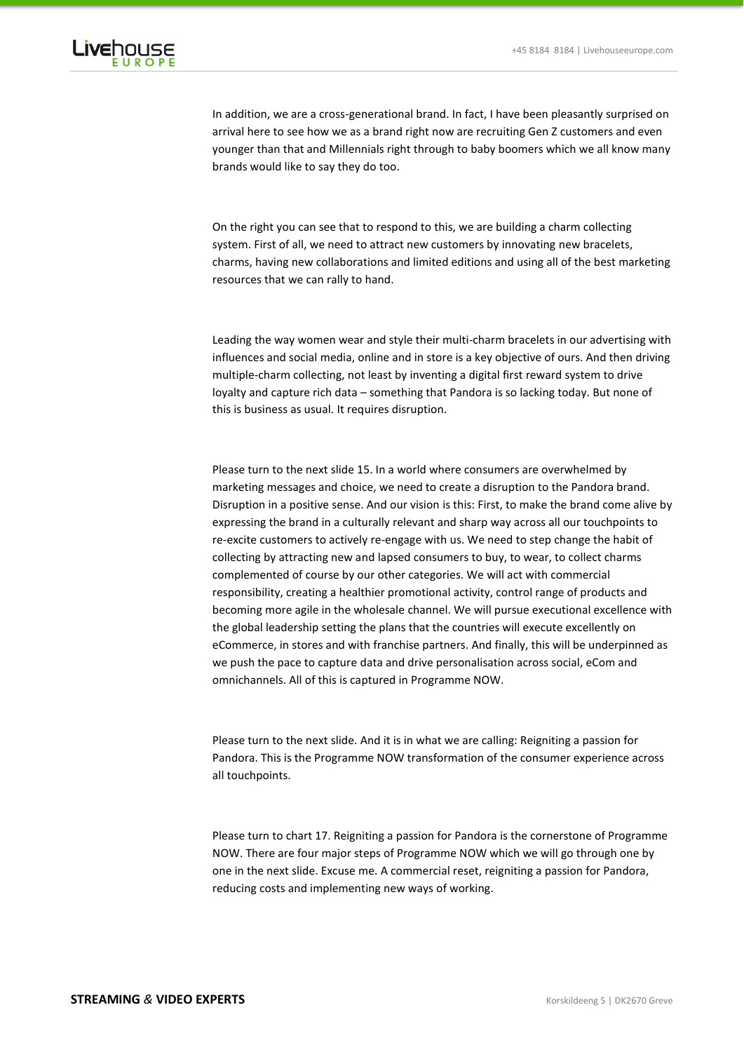

In addition, we are a cross-generational brand. In fact, I have been pleasantly surprised on arrival here to see how we as a brand right now are recruiting Gen Z customers and even younger than that and Millennials right through to baby boomers which we all know many brands would like to say they do too.

On the right you can see that to respond to this, we are building a charm collecting system. First of all, we need to attract new customers by innovating new bracelets, charms, having new collaborations and limited editions and using all of the best marketing resources that we can rally to hand.

Leading the way women wear and style their multi-charm bracelets in our advertising with influences and social media, online and in store is a key objective of ours. And then driving multiple-charm collecting, not least by inventing a digital first reward system to drive loyalty and capture rich data – something that Pandora is so lacking today. But none of this is business as usual. It requires disruption.

Please turn to the next slide 15. In a world where consumers are overwhelmed by marketing messages and choice, we need to create a disruption to the Pandora brand. Disruption in a positive sense. And our vision is this: First, to make the brand come alive by expressing the brand in a culturally relevant and sharp way across all our touchpoints to re-excite customers to actively re-engage with us. We need to step change the habit of collecting by attracting new and lapsed consumers to buy, to wear, to collect charms complemented of course by our other categories. We will act with commercial responsibility, creating a healthier promotional activity, control range of products and becoming more agile in the wholesale channel. We will pursue executional excellence with the global leadership setting the plans that the countries will execute excellently on eCommerce, in stores and with franchise partners. And finally, this will be underpinned as we push the pace to capture data and drive personalisation across social, eCom and omnichannels. All of this is captured in Programme NOW.

Please turn to the next slide. And it is in what we are calling: Reigniting a passion for Pandora. This is the Programme NOW transformation of the consumer experience across all touchpoints.

Please turn to chart 17. Reigniting a passion for Pandora is the cornerstone of Programme NOW. There are four major steps of Programme NOW which we will go through one by one in the next slide. Excuse me. A commercial reset, reigniting a passion for Pandora, reducing costs and implementing new ways of working.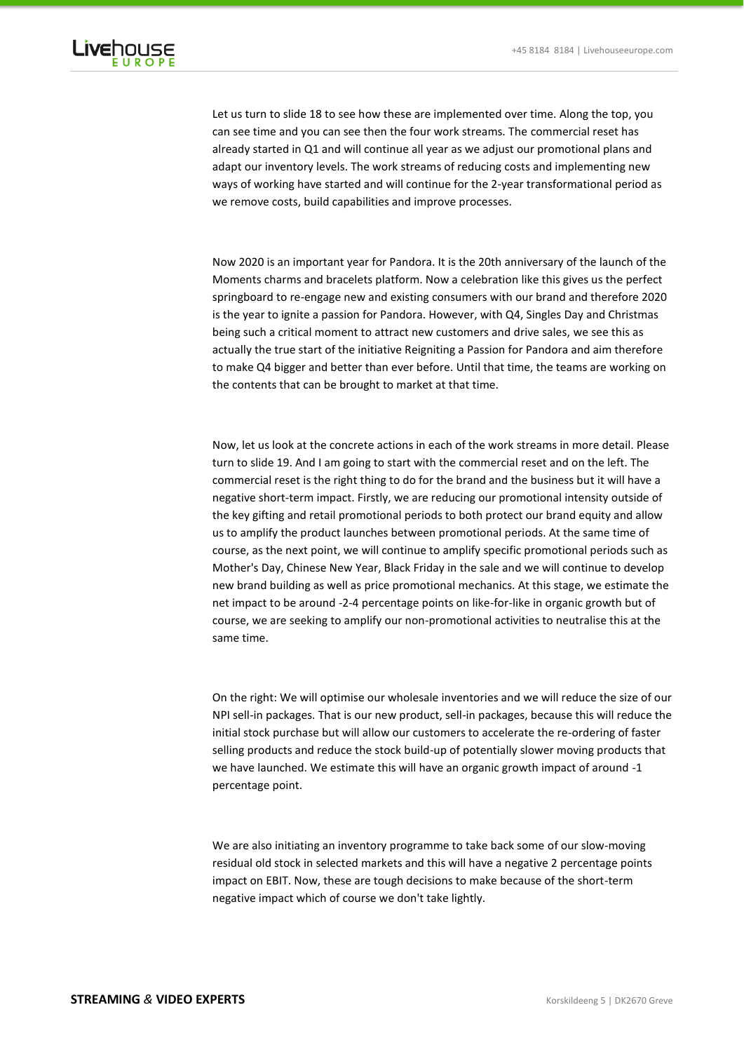

Let us turn to slide 18 to see how these are implemented over time. Along the top, you can see time and you can see then the four work streams. The commercial reset has already started in Q1 and will continue all year as we adjust our promotional plans and adapt our inventory levels. The work streams of reducing costs and implementing new ways of working have started and will continue for the 2-year transformational period as we remove costs, build capabilities and improve processes.

Now 2020 is an important year for Pandora. It is the 20th anniversary of the launch of the Moments charms and bracelets platform. Now a celebration like this gives us the perfect springboard to re-engage new and existing consumers with our brand and therefore 2020 is the year to ignite a passion for Pandora. However, with Q4, Singles Day and Christmas being such a critical moment to attract new customers and drive sales, we see this as actually the true start of the initiative Reigniting a Passion for Pandora and aim therefore to make Q4 bigger and better than ever before. Until that time, the teams are working on the contents that can be brought to market at that time.

Now, let us look at the concrete actions in each of the work streams in more detail. Please turn to slide 19. And I am going to start with the commercial reset and on the left. The commercial reset is the right thing to do for the brand and the business but it will have a negative short-term impact. Firstly, we are reducing our promotional intensity outside of the key gifting and retail promotional periods to both protect our brand equity and allow us to amplify the product launches between promotional periods. At the same time of course, as the next point, we will continue to amplify specific promotional periods such as Mother's Day, Chinese New Year, Black Friday in the sale and we will continue to develop new brand building as well as price promotional mechanics. At this stage, we estimate the net impact to be around -2-4 percentage points on like-for-like in organic growth but of course, we are seeking to amplify our non-promotional activities to neutralise this at the same time.

On the right: We will optimise our wholesale inventories and we will reduce the size of our NPI sell-in packages. That is our new product, sell-in packages, because this will reduce the initial stock purchase but will allow our customers to accelerate the re-ordering of faster selling products and reduce the stock build-up of potentially slower moving products that we have launched. We estimate this will have an organic growth impact of around -1 percentage point.

We are also initiating an inventory programme to take back some of our slow-moving residual old stock in selected markets and this will have a negative 2 percentage points impact on EBIT. Now, these are tough decisions to make because of the short-term negative impact which of course we don't take lightly.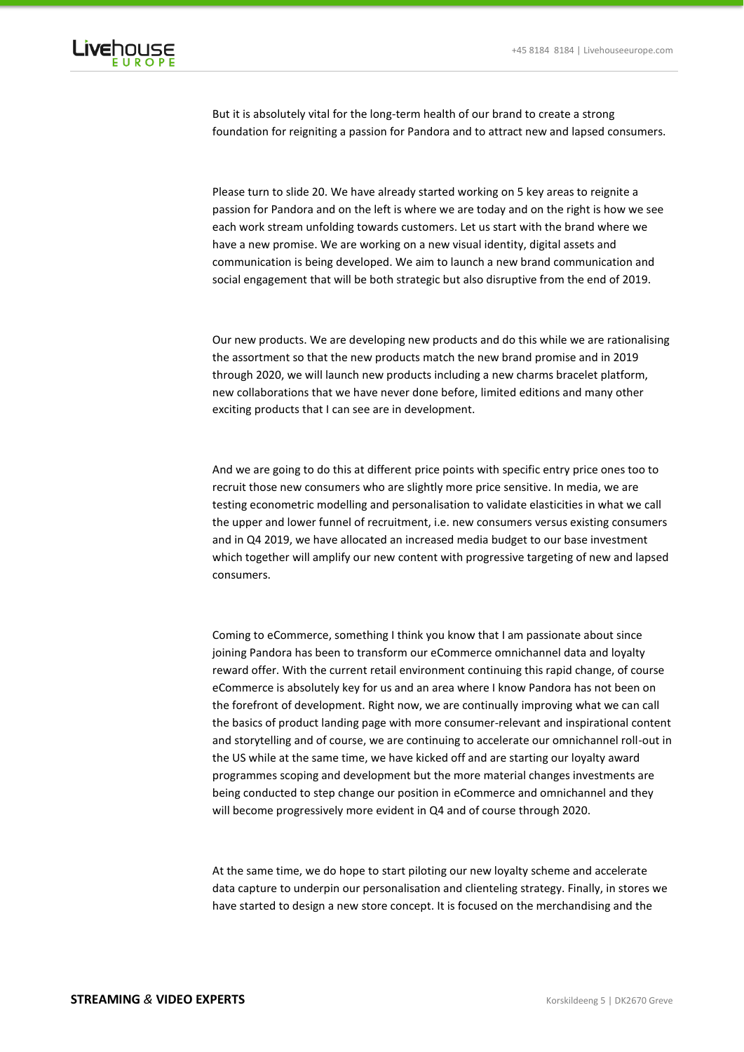

But it is absolutely vital for the long-term health of our brand to create a strong foundation for reigniting a passion for Pandora and to attract new and lapsed consumers.

Please turn to slide 20. We have already started working on 5 key areas to reignite a passion for Pandora and on the left is where we are today and on the right is how we see each work stream unfolding towards customers. Let us start with the brand where we have a new promise. We are working on a new visual identity, digital assets and communication is being developed. We aim to launch a new brand communication and social engagement that will be both strategic but also disruptive from the end of 2019.

Our new products. We are developing new products and do this while we are rationalising the assortment so that the new products match the new brand promise and in 2019 through 2020, we will launch new products including a new charms bracelet platform, new collaborations that we have never done before, limited editions and many other exciting products that I can see are in development.

And we are going to do this at different price points with specific entry price ones too to recruit those new consumers who are slightly more price sensitive. In media, we are testing econometric modelling and personalisation to validate elasticities in what we call the upper and lower funnel of recruitment, i.e. new consumers versus existing consumers and in Q4 2019, we have allocated an increased media budget to our base investment which together will amplify our new content with progressive targeting of new and lapsed consumers.

Coming to eCommerce, something I think you know that I am passionate about since joining Pandora has been to transform our eCommerce omnichannel data and loyalty reward offer. With the current retail environment continuing this rapid change, of course eCommerce is absolutely key for us and an area where I know Pandora has not been on the forefront of development. Right now, we are continually improving what we can call the basics of product landing page with more consumer-relevant and inspirational content and storytelling and of course, we are continuing to accelerate our omnichannel roll-out in the US while at the same time, we have kicked off and are starting our loyalty award programmes scoping and development but the more material changes investments are being conducted to step change our position in eCommerce and omnichannel and they will become progressively more evident in Q4 and of course through 2020.

At the same time, we do hope to start piloting our new loyalty scheme and accelerate data capture to underpin our personalisation and clienteling strategy. Finally, in stores we have started to design a new store concept. It is focused on the merchandising and the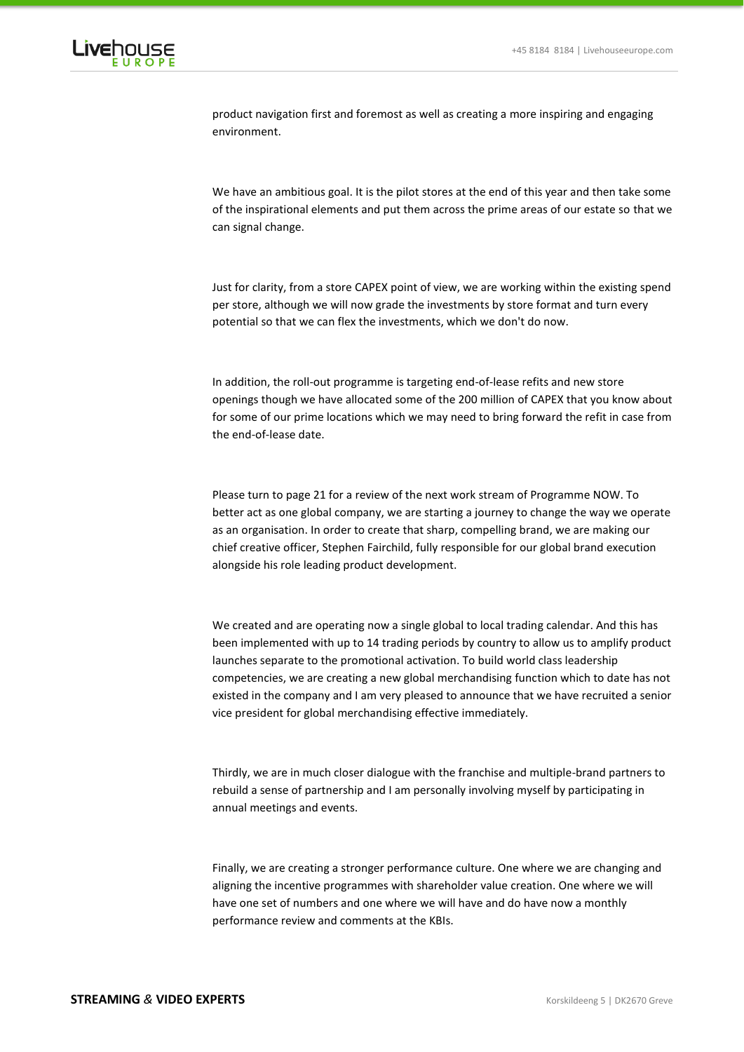

product navigation first and foremost as well as creating a more inspiring and engaging environment.

We have an ambitious goal. It is the pilot stores at the end of this year and then take some of the inspirational elements and put them across the prime areas of our estate so that we can signal change.

Just for clarity, from a store CAPEX point of view, we are working within the existing spend per store, although we will now grade the investments by store format and turn every potential so that we can flex the investments, which we don't do now.

In addition, the roll-out programme is targeting end-of-lease refits and new store openings though we have allocated some of the 200 million of CAPEX that you know about for some of our prime locations which we may need to bring forward the refit in case from the end-of-lease date.

Please turn to page 21 for a review of the next work stream of Programme NOW. To better act as one global company, we are starting a journey to change the way we operate as an organisation. In order to create that sharp, compelling brand, we are making our chief creative officer, Stephen Fairchild, fully responsible for our global brand execution alongside his role leading product development.

We created and are operating now a single global to local trading calendar. And this has been implemented with up to 14 trading periods by country to allow us to amplify product launches separate to the promotional activation. To build world class leadership competencies, we are creating a new global merchandising function which to date has not existed in the company and I am very pleased to announce that we have recruited a senior vice president for global merchandising effective immediately.

Thirdly, we are in much closer dialogue with the franchise and multiple-brand partners to rebuild a sense of partnership and I am personally involving myself by participating in annual meetings and events.

Finally, we are creating a stronger performance culture. One where we are changing and aligning the incentive programmes with shareholder value creation. One where we will have one set of numbers and one where we will have and do have now a monthly performance review and comments at the KBIs.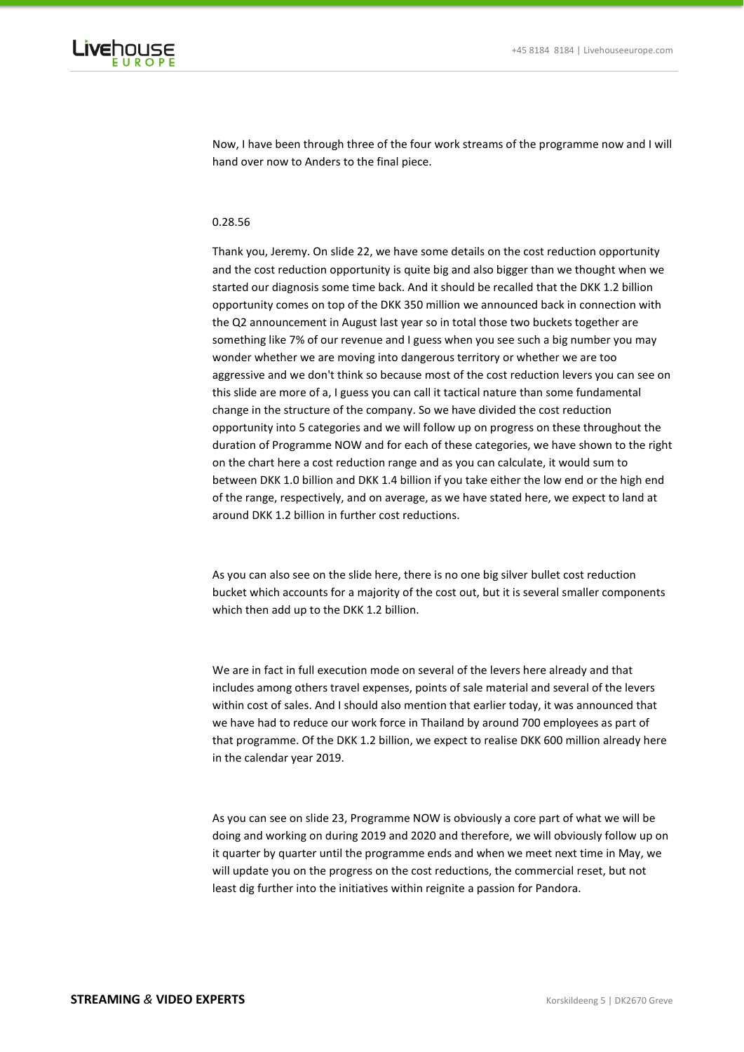

Now, I have been through three of the four work streams of the programme now and I will hand over now to Anders to the final piece.

# 0.28.56

Thank you, Jeremy. On slide 22, we have some details on the cost reduction opportunity and the cost reduction opportunity is quite big and also bigger than we thought when we started our diagnosis some time back. And it should be recalled that the DKK 1.2 billion opportunity comes on top of the DKK 350 million we announced back in connection with the Q2 announcement in August last year so in total those two buckets together are something like 7% of our revenue and I guess when you see such a big number you may wonder whether we are moving into dangerous territory or whether we are too aggressive and we don't think so because most of the cost reduction levers you can see on this slide are more of a, I guess you can call it tactical nature than some fundamental change in the structure of the company. So we have divided the cost reduction opportunity into 5 categories and we will follow up on progress on these throughout the duration of Programme NOW and for each of these categories, we have shown to the right on the chart here a cost reduction range and as you can calculate, it would sum to between DKK 1.0 billion and DKK 1.4 billion if you take either the low end or the high end of the range, respectively, and on average, as we have stated here, we expect to land at around DKK 1.2 billion in further cost reductions.

As you can also see on the slide here, there is no one big silver bullet cost reduction bucket which accounts for a majority of the cost out, but it is several smaller components which then add up to the DKK 1.2 billion.

We are in fact in full execution mode on several of the levers here already and that includes among others travel expenses, points of sale material and several of the levers within cost of sales. And I should also mention that earlier today, it was announced that we have had to reduce our work force in Thailand by around 700 employees as part of that programme. Of the DKK 1.2 billion, we expect to realise DKK 600 million already here in the calendar year 2019.

As you can see on slide 23, Programme NOW is obviously a core part of what we will be doing and working on during 2019 and 2020 and therefore, we will obviously follow up on it quarter by quarter until the programme ends and when we meet next time in May, we will update you on the progress on the cost reductions, the commercial reset, but not least dig further into the initiatives within reignite a passion for Pandora.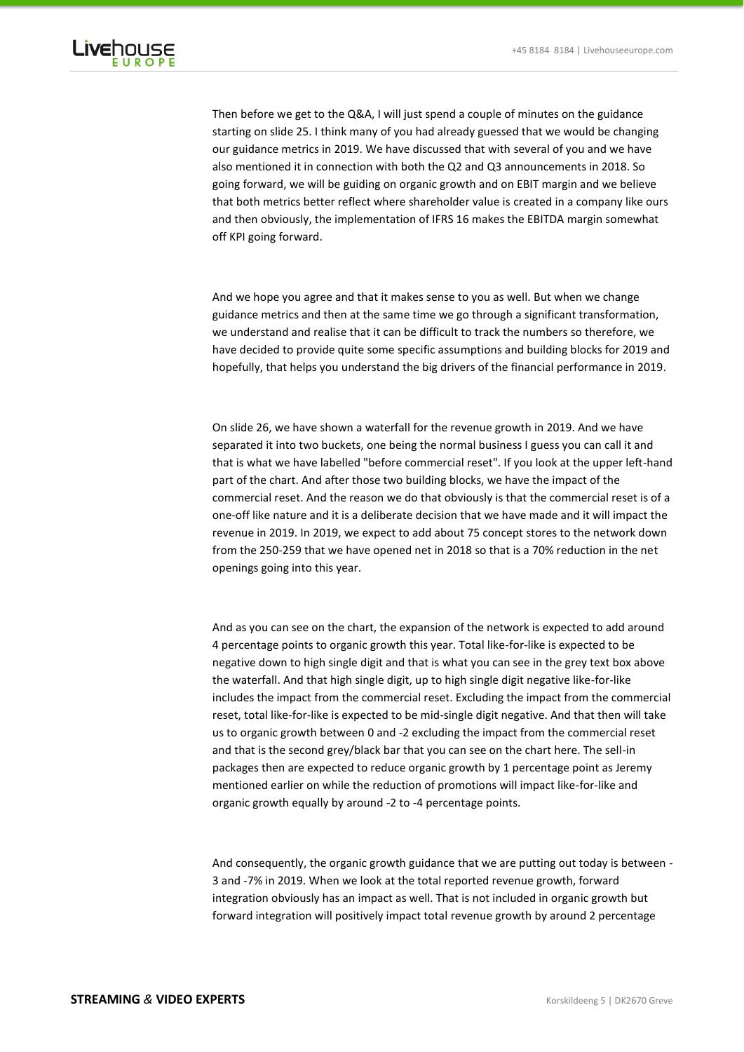

Then before we get to the Q&A, I will just spend a couple of minutes on the guidance starting on slide 25. I think many of you had already guessed that we would be changing our guidance metrics in 2019. We have discussed that with several of you and we have also mentioned it in connection with both the Q2 and Q3 announcements in 2018. So going forward, we will be guiding on organic growth and on EBIT margin and we believe that both metrics better reflect where shareholder value is created in a company like ours and then obviously, the implementation of IFRS 16 makes the EBITDA margin somewhat off KPI going forward.

# And we hope you agree and that it makes sense to you as well. But when we change guidance metrics and then at the same time we go through a significant transformation, we understand and realise that it can be difficult to track the numbers so therefore, we have decided to provide quite some specific assumptions and building blocks for 2019 and hopefully, that helps you understand the big drivers of the financial performance in 2019.

On slide 26, we have shown a waterfall for the revenue growth in 2019. And we have separated it into two buckets, one being the normal business I guess you can call it and that is what we have labelled "before commercial reset". If you look at the upper left-hand part of the chart. And after those two building blocks, we have the impact of the commercial reset. And the reason we do that obviously is that the commercial reset is of a one-off like nature and it is a deliberate decision that we have made and it will impact the revenue in 2019. In 2019, we expect to add about 75 concept stores to the network down from the 250-259 that we have opened net in 2018 so that is a 70% reduction in the net openings going into this year.

# And as you can see on the chart, the expansion of the network is expected to add around 4 percentage points to organic growth this year. Total like-for-like is expected to be negative down to high single digit and that is what you can see in the grey text box above the waterfall. And that high single digit, up to high single digit negative like-for-like includes the impact from the commercial reset. Excluding the impact from the commercial reset, total like-for-like is expected to be mid-single digit negative. And that then will take us to organic growth between 0 and -2 excluding the impact from the commercial reset and that is the second grey/black bar that you can see on the chart here. The sell-in packages then are expected to reduce organic growth by 1 percentage point as Jeremy mentioned earlier on while the reduction of promotions will impact like-for-like and organic growth equally by around -2 to -4 percentage points.

And consequently, the organic growth guidance that we are putting out today is between - 3 and -7% in 2019. When we look at the total reported revenue growth, forward integration obviously has an impact as well. That is not included in organic growth but forward integration will positively impact total revenue growth by around 2 percentage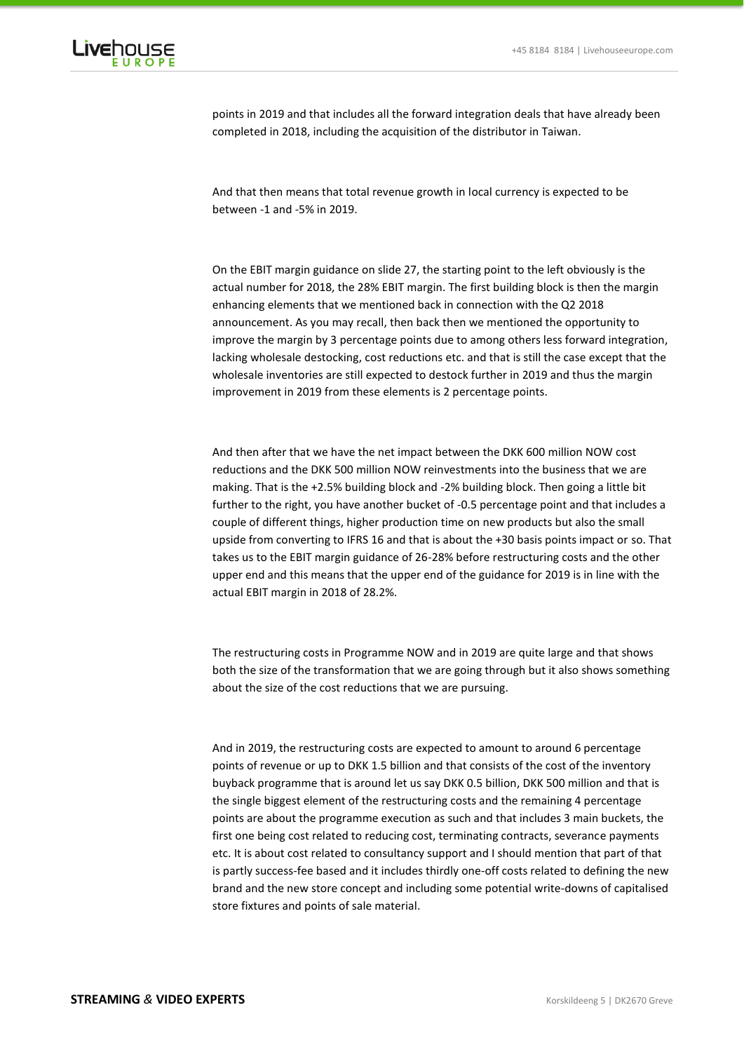

points in 2019 and that includes all the forward integration deals that have already been completed in 2018, including the acquisition of the distributor in Taiwan.

And that then means that total revenue growth in local currency is expected to be between -1 and -5% in 2019.

On the EBIT margin guidance on slide 27, the starting point to the left obviously is the actual number for 2018, the 28% EBIT margin. The first building block is then the margin enhancing elements that we mentioned back in connection with the Q2 2018 announcement. As you may recall, then back then we mentioned the opportunity to improve the margin by 3 percentage points due to among others less forward integration, lacking wholesale destocking, cost reductions etc. and that is still the case except that the wholesale inventories are still expected to destock further in 2019 and thus the margin improvement in 2019 from these elements is 2 percentage points.

And then after that we have the net impact between the DKK 600 million NOW cost reductions and the DKK 500 million NOW reinvestments into the business that we are making. That is the +2.5% building block and -2% building block. Then going a little bit further to the right, you have another bucket of -0.5 percentage point and that includes a couple of different things, higher production time on new products but also the small upside from converting to IFRS 16 and that is about the +30 basis points impact or so. That takes us to the EBIT margin guidance of 26-28% before restructuring costs and the other upper end and this means that the upper end of the guidance for 2019 is in line with the actual EBIT margin in 2018 of 28.2%.

The restructuring costs in Programme NOW and in 2019 are quite large and that shows both the size of the transformation that we are going through but it also shows something about the size of the cost reductions that we are pursuing.

And in 2019, the restructuring costs are expected to amount to around 6 percentage points of revenue or up to DKK 1.5 billion and that consists of the cost of the inventory buyback programme that is around let us say DKK 0.5 billion, DKK 500 million and that is the single biggest element of the restructuring costs and the remaining 4 percentage points are about the programme execution as such and that includes 3 main buckets, the first one being cost related to reducing cost, terminating contracts, severance payments etc. It is about cost related to consultancy support and I should mention that part of that is partly success-fee based and it includes thirdly one-off costs related to defining the new brand and the new store concept and including some potential write-downs of capitalised store fixtures and points of sale material.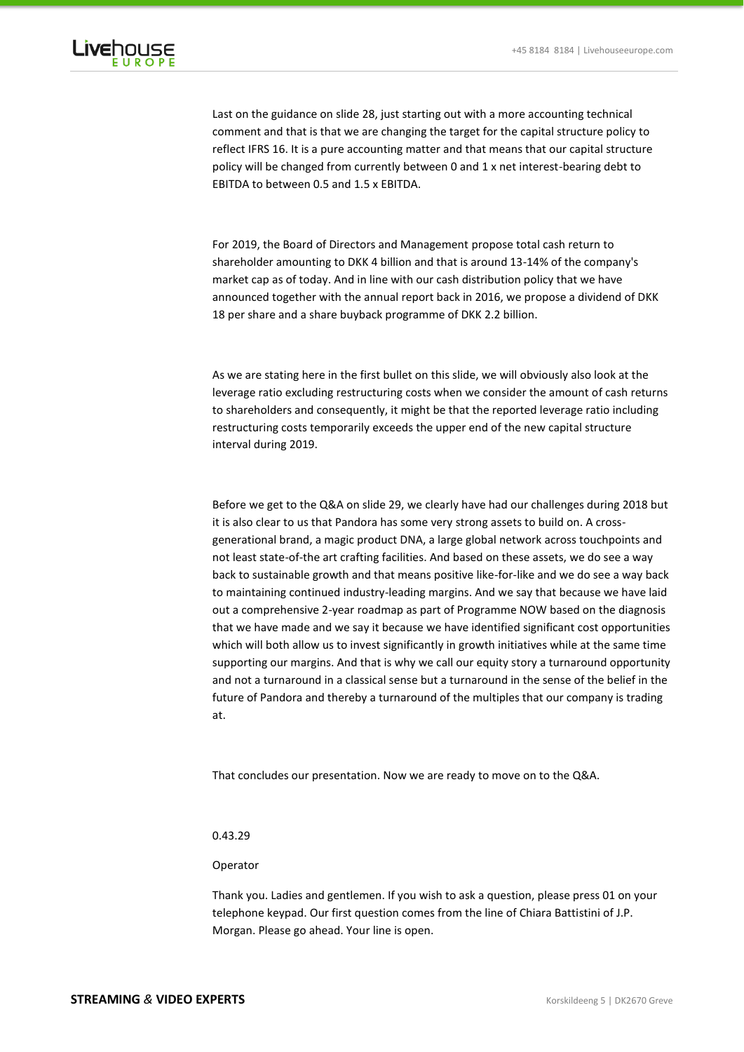

Last on the guidance on slide 28, just starting out with a more accounting technical comment and that is that we are changing the target for the capital structure policy to reflect IFRS 16. It is a pure accounting matter and that means that our capital structure policy will be changed from currently between 0 and 1 x net interest-bearing debt to EBITDA to between 0.5 and 1.5 x EBITDA.

For 2019, the Board of Directors and Management propose total cash return to shareholder amounting to DKK 4 billion and that is around 13-14% of the company's market cap as of today. And in line with our cash distribution policy that we have announced together with the annual report back in 2016, we propose a dividend of DKK 18 per share and a share buyback programme of DKK 2.2 billion.

As we are stating here in the first bullet on this slide, we will obviously also look at the leverage ratio excluding restructuring costs when we consider the amount of cash returns to shareholders and consequently, it might be that the reported leverage ratio including restructuring costs temporarily exceeds the upper end of the new capital structure interval during 2019.

Before we get to the Q&A on slide 29, we clearly have had our challenges during 2018 but it is also clear to us that Pandora has some very strong assets to build on. A crossgenerational brand, a magic product DNA, a large global network across touchpoints and not least state-of-the art crafting facilities. And based on these assets, we do see a way back to sustainable growth and that means positive like-for-like and we do see a way back to maintaining continued industry-leading margins. And we say that because we have laid out a comprehensive 2-year roadmap as part of Programme NOW based on the diagnosis that we have made and we say it because we have identified significant cost opportunities which will both allow us to invest significantly in growth initiatives while at the same time supporting our margins. And that is why we call our equity story a turnaround opportunity and not a turnaround in a classical sense but a turnaround in the sense of the belief in the future of Pandora and thereby a turnaround of the multiples that our company is trading at.

That concludes our presentation. Now we are ready to move on to the Q&A.

# 0.43.29

### Operator

Thank you. Ladies and gentlemen. If you wish to ask a question, please press 01 on your telephone keypad. Our first question comes from the line of Chiara Battistini of J.P. Morgan. Please go ahead. Your line is open.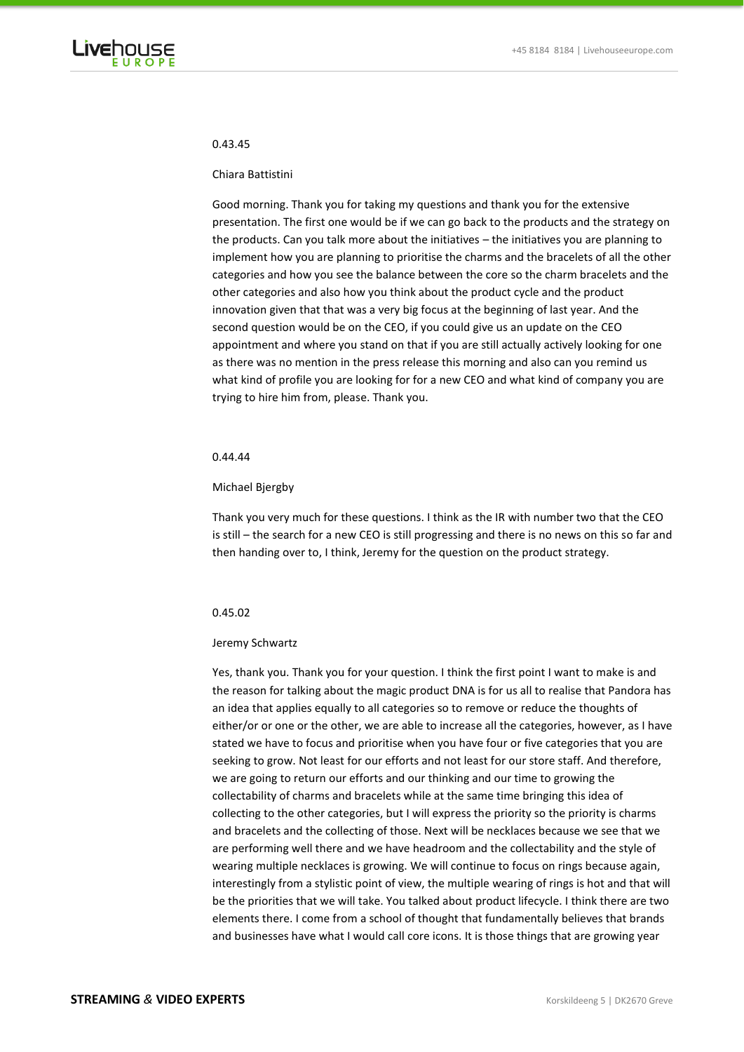

# 0.43.45

#### Chiara Battistini

Good morning. Thank you for taking my questions and thank you for the extensive presentation. The first one would be if we can go back to the products and the strategy on the products. Can you talk more about the initiatives – the initiatives you are planning to implement how you are planning to prioritise the charms and the bracelets of all the other categories and how you see the balance between the core so the charm bracelets and the other categories and also how you think about the product cycle and the product innovation given that that was a very big focus at the beginning of last year. And the second question would be on the CEO, if you could give us an update on the CEO appointment and where you stand on that if you are still actually actively looking for one as there was no mention in the press release this morning and also can you remind us what kind of profile you are looking for for a new CEO and what kind of company you are trying to hire him from, please. Thank you.

# 0.44.44

# Michael Bjergby

Thank you very much for these questions. I think as the IR with number two that the CEO is still – the search for a new CEO is still progressing and there is no news on this so far and then handing over to, I think, Jeremy for the question on the product strategy.

# 0.45.02

#### Jeremy Schwartz

Yes, thank you. Thank you for your question. I think the first point I want to make is and the reason for talking about the magic product DNA is for us all to realise that Pandora has an idea that applies equally to all categories so to remove or reduce the thoughts of either/or or one or the other, we are able to increase all the categories, however, as I have stated we have to focus and prioritise when you have four or five categories that you are seeking to grow. Not least for our efforts and not least for our store staff. And therefore, we are going to return our efforts and our thinking and our time to growing the collectability of charms and bracelets while at the same time bringing this idea of collecting to the other categories, but I will express the priority so the priority is charms and bracelets and the collecting of those. Next will be necklaces because we see that we are performing well there and we have headroom and the collectability and the style of wearing multiple necklaces is growing. We will continue to focus on rings because again, interestingly from a stylistic point of view, the multiple wearing of rings is hot and that will be the priorities that we will take. You talked about product lifecycle. I think there are two elements there. I come from a school of thought that fundamentally believes that brands and businesses have what I would call core icons. It is those things that are growing year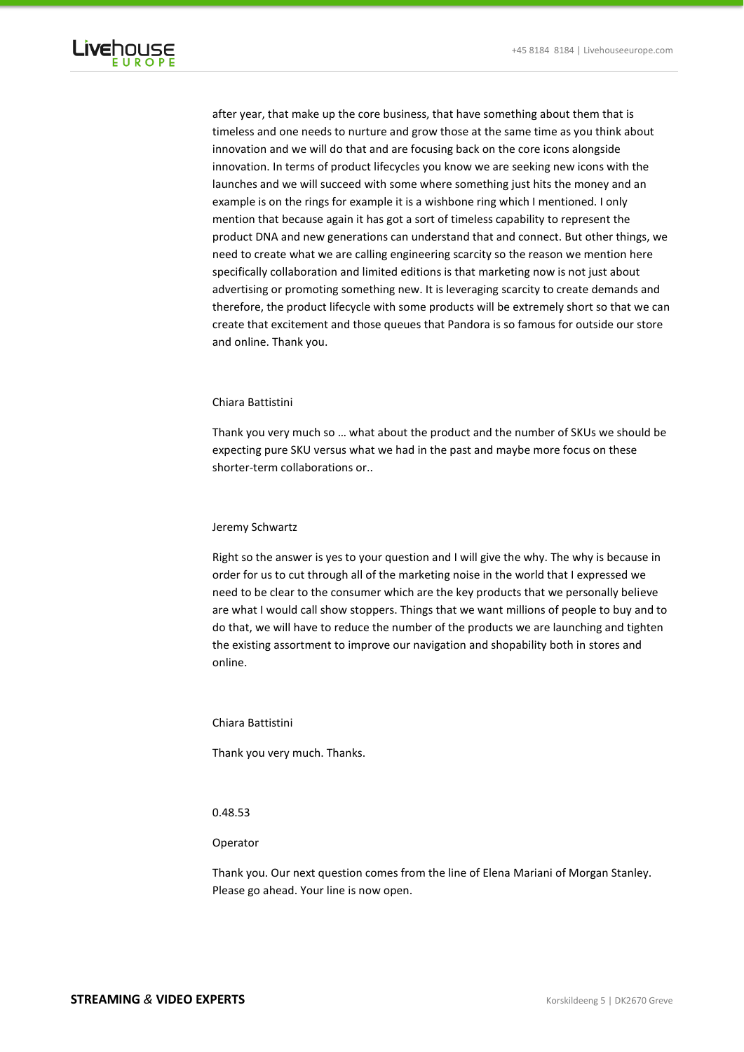

after year, that make up the core business, that have something about them that is timeless and one needs to nurture and grow those at the same time as you think about innovation and we will do that and are focusing back on the core icons alongside innovation. In terms of product lifecycles you know we are seeking new icons with the launches and we will succeed with some where something just hits the money and an example is on the rings for example it is a wishbone ring which I mentioned. I only mention that because again it has got a sort of timeless capability to represent the product DNA and new generations can understand that and connect. But other things, we need to create what we are calling engineering scarcity so the reason we mention here specifically collaboration and limited editions is that marketing now is not just about advertising or promoting something new. It is leveraging scarcity to create demands and therefore, the product lifecycle with some products will be extremely short so that we can create that excitement and those queues that Pandora is so famous for outside our store and online. Thank you.

# Chiara Battistini

Thank you very much so … what about the product and the number of SKUs we should be expecting pure SKU versus what we had in the past and maybe more focus on these shorter-term collaborations or..

### Jeremy Schwartz

Right so the answer is yes to your question and I will give the why. The why is because in order for us to cut through all of the marketing noise in the world that I expressed we need to be clear to the consumer which are the key products that we personally believe are what I would call show stoppers. Things that we want millions of people to buy and to do that, we will have to reduce the number of the products we are launching and tighten the existing assortment to improve our navigation and shopability both in stores and online.

#### Chiara Battistini

Thank you very much. Thanks.

### 0.48.53

#### Operator

Thank you. Our next question comes from the line of Elena Mariani of Morgan Stanley. Please go ahead. Your line is now open.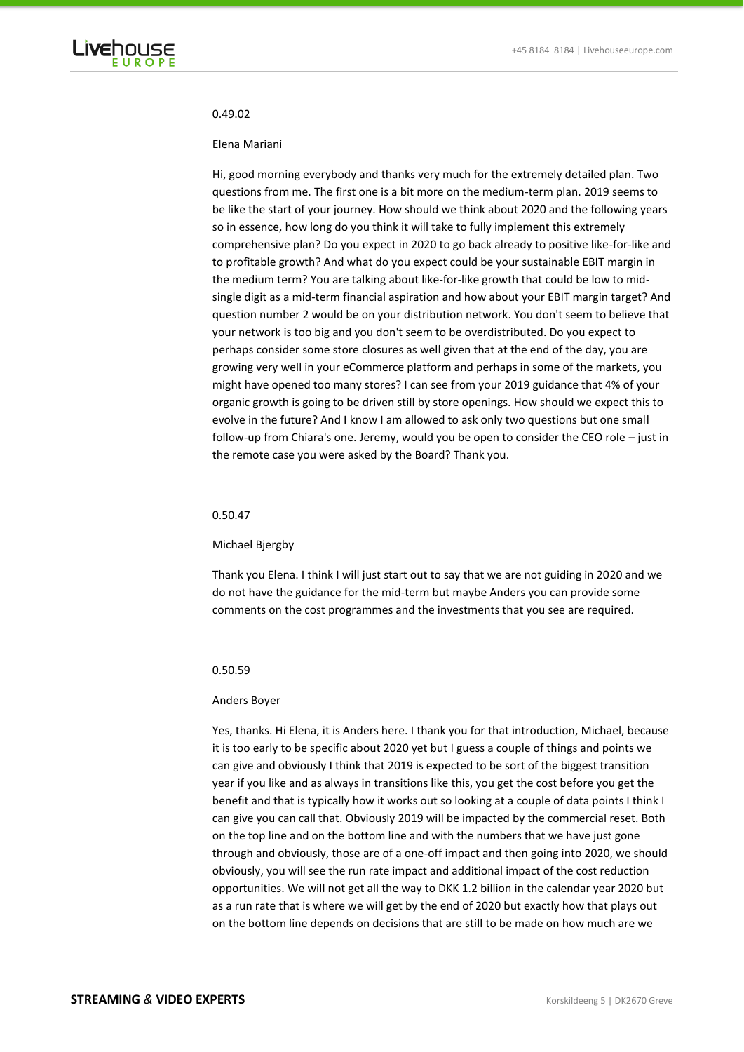

#### 0.49.02

#### Elena Mariani

Hi, good morning everybody and thanks very much for the extremely detailed plan. Two questions from me. The first one is a bit more on the medium-term plan. 2019 seems to be like the start of your journey. How should we think about 2020 and the following years so in essence, how long do you think it will take to fully implement this extremely comprehensive plan? Do you expect in 2020 to go back already to positive like-for-like and to profitable growth? And what do you expect could be your sustainable EBIT margin in the medium term? You are talking about like-for-like growth that could be low to midsingle digit as a mid-term financial aspiration and how about your EBIT margin target? And question number 2 would be on your distribution network. You don't seem to believe that your network is too big and you don't seem to be overdistributed. Do you expect to perhaps consider some store closures as well given that at the end of the day, you are growing very well in your eCommerce platform and perhaps in some of the markets, you might have opened too many stores? I can see from your 2019 guidance that 4% of your organic growth is going to be driven still by store openings. How should we expect this to evolve in the future? And I know I am allowed to ask only two questions but one small follow-up from Chiara's one. Jeremy, would you be open to consider the CEO role – just in the remote case you were asked by the Board? Thank you.

#### 0.50.47

# Michael Bjergby

Thank you Elena. I think I will just start out to say that we are not guiding in 2020 and we do not have the guidance for the mid-term but maybe Anders you can provide some comments on the cost programmes and the investments that you see are required.

#### 0.50.59

#### Anders Boyer

Yes, thanks. Hi Elena, it is Anders here. I thank you for that introduction, Michael, because it is too early to be specific about 2020 yet but I guess a couple of things and points we can give and obviously I think that 2019 is expected to be sort of the biggest transition year if you like and as always in transitions like this, you get the cost before you get the benefit and that is typically how it works out so looking at a couple of data points I think I can give you can call that. Obviously 2019 will be impacted by the commercial reset. Both on the top line and on the bottom line and with the numbers that we have just gone through and obviously, those are of a one-off impact and then going into 2020, we should obviously, you will see the run rate impact and additional impact of the cost reduction opportunities. We will not get all the way to DKK 1.2 billion in the calendar year 2020 but as a run rate that is where we will get by the end of 2020 but exactly how that plays out on the bottom line depends on decisions that are still to be made on how much are we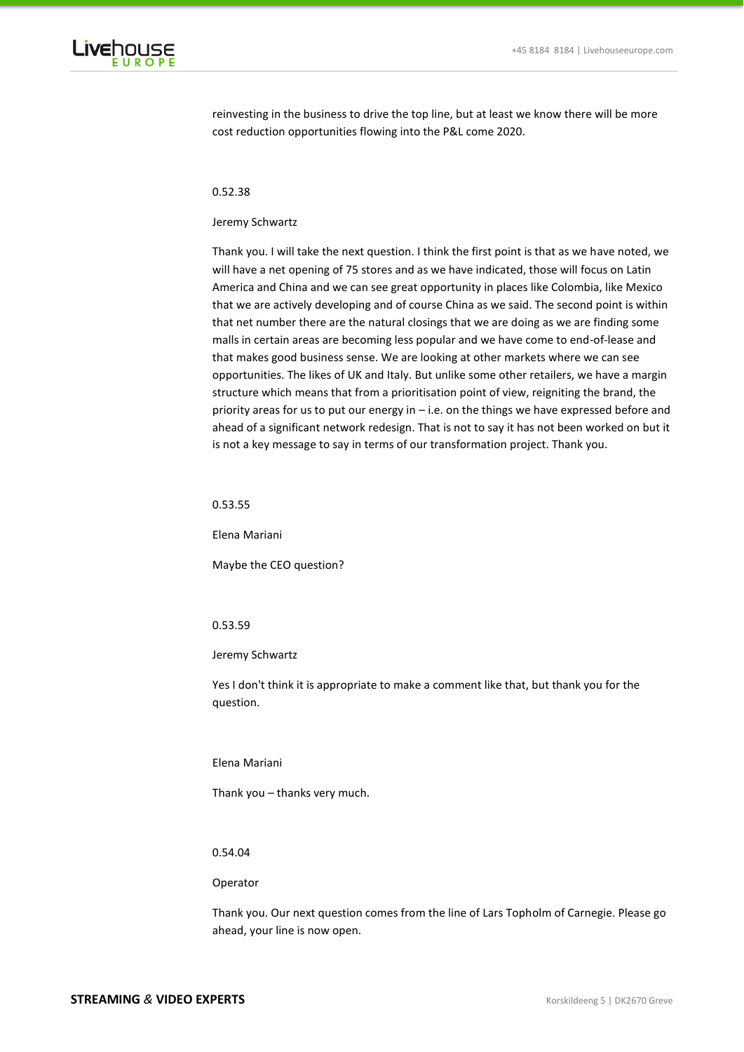

reinvesting in the business to drive the top line, but at least we know there will be more cost reduction opportunities flowing into the P&L come 2020.

# 0.52.38

### Jeremy Schwartz

Thank you. I will take the next question. I think the first point is that as we have noted, we will have a net opening of 75 stores and as we have indicated, those will focus on Latin America and China and we can see great opportunity in places like Colombia, like Mexico that we are actively developing and of course China as we said. The second point is within that net number there are the natural closings that we are doing as we are finding some malls in certain areas are becoming less popular and we have come to end-of-lease and that makes good business sense. We are looking at other markets where we can see opportunities. The likes of UK and Italy. But unlike some other retailers, we have a margin structure which means that from a prioritisation point of view, reigniting the brand, the priority areas for us to put our energy in – i.e. on the things we have expressed before and ahead of a significant network redesign. That is not to say it has not been worked on but it is not a key message to say in terms of our transformation project. Thank you.

#### 0.53.55

Elena Mariani

Maybe the CEO question?

# 0.53.59

#### Jeremy Schwartz

Yes I don't think it is appropriate to make a comment like that, but thank you for the question.

# Elena Mariani

Thank you – thanks very much.

# 0.54.04

# Operator

Thank you. Our next question comes from the line of Lars Topholm of Carnegie. Please go ahead, your line is now open.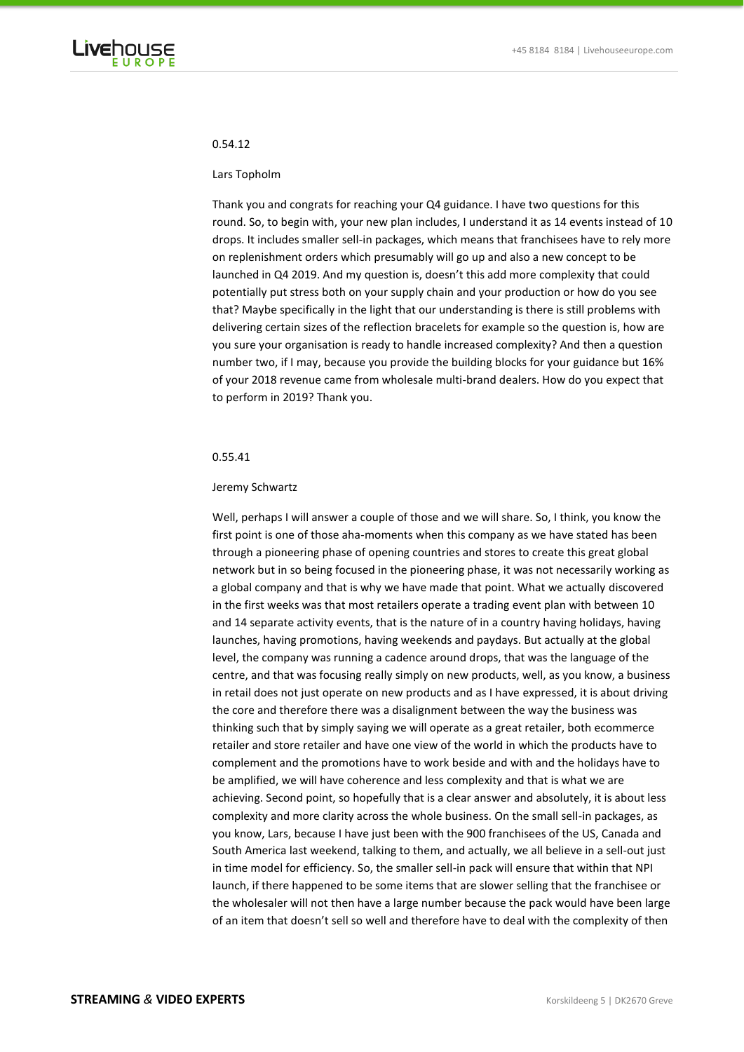

# 0.54.12

#### Lars Topholm

Thank you and congrats for reaching your Q4 guidance. I have two questions for this round. So, to begin with, your new plan includes, I understand it as 14 events instead of 10 drops. It includes smaller sell-in packages, which means that franchisees have to rely more on replenishment orders which presumably will go up and also a new concept to be launched in Q4 2019. And my question is, doesn't this add more complexity that could potentially put stress both on your supply chain and your production or how do you see that? Maybe specifically in the light that our understanding is there is still problems with delivering certain sizes of the reflection bracelets for example so the question is, how are you sure your organisation is ready to handle increased complexity? And then a question number two, if I may, because you provide the building blocks for your guidance but 16% of your 2018 revenue came from wholesale multi-brand dealers. How do you expect that to perform in 2019? Thank you.

# 0.55.41

### Jeremy Schwartz

Well, perhaps I will answer a couple of those and we will share. So, I think, you know the first point is one of those aha-moments when this company as we have stated has been through a pioneering phase of opening countries and stores to create this great global network but in so being focused in the pioneering phase, it was not necessarily working as a global company and that is why we have made that point. What we actually discovered in the first weeks was that most retailers operate a trading event plan with between 10 and 14 separate activity events, that is the nature of in a country having holidays, having launches, having promotions, having weekends and paydays. But actually at the global level, the company was running a cadence around drops, that was the language of the centre, and that was focusing really simply on new products, well, as you know, a business in retail does not just operate on new products and as I have expressed, it is about driving the core and therefore there was a disalignment between the way the business was thinking such that by simply saying we will operate as a great retailer, both ecommerce retailer and store retailer and have one view of the world in which the products have to complement and the promotions have to work beside and with and the holidays have to be amplified, we will have coherence and less complexity and that is what we are achieving. Second point, so hopefully that is a clear answer and absolutely, it is about less complexity and more clarity across the whole business. On the small sell-in packages, as you know, Lars, because I have just been with the 900 franchisees of the US, Canada and South America last weekend, talking to them, and actually, we all believe in a sell-out just in time model for efficiency. So, the smaller sell-in pack will ensure that within that NPI launch, if there happened to be some items that are slower selling that the franchisee or the wholesaler will not then have a large number because the pack would have been large of an item that doesn't sell so well and therefore have to deal with the complexity of then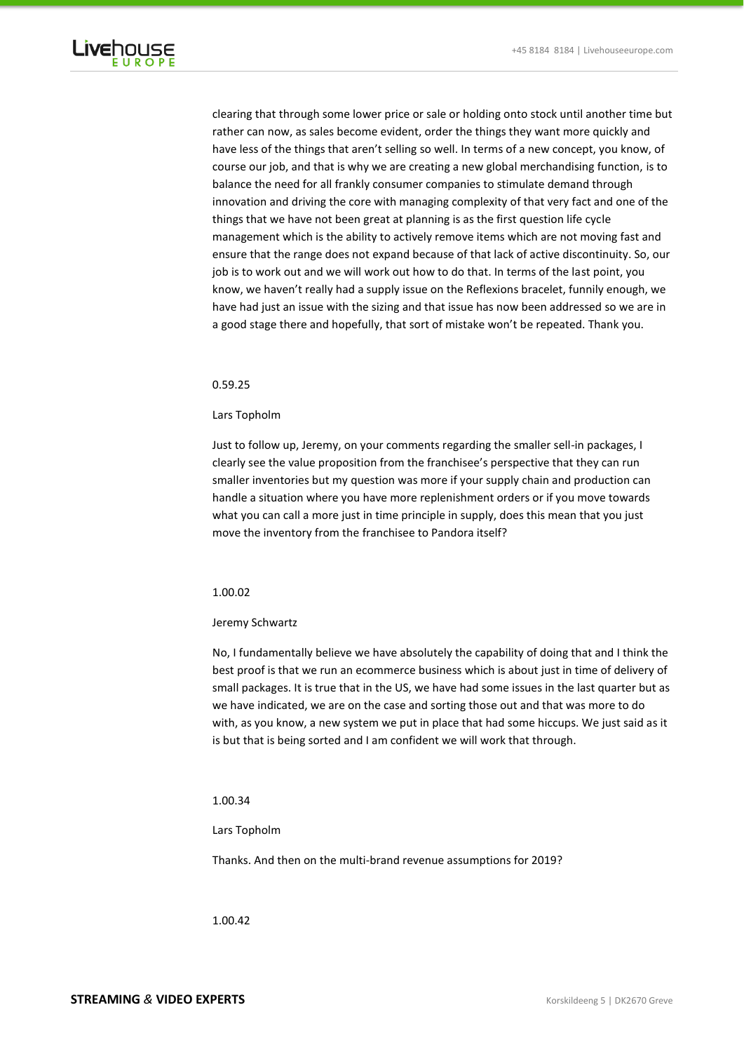

clearing that through some lower price or sale or holding onto stock until another time but rather can now, as sales become evident, order the things they want more quickly and have less of the things that aren't selling so well. In terms of a new concept, you know, of course our job, and that is why we are creating a new global merchandising function, is to balance the need for all frankly consumer companies to stimulate demand through innovation and driving the core with managing complexity of that very fact and one of the things that we have not been great at planning is as the first question life cycle management which is the ability to actively remove items which are not moving fast and ensure that the range does not expand because of that lack of active discontinuity. So, our job is to work out and we will work out how to do that. In terms of the last point, you know, we haven't really had a supply issue on the Reflexions bracelet, funnily enough, we have had just an issue with the sizing and that issue has now been addressed so we are in a good stage there and hopefully, that sort of mistake won't be repeated. Thank you.

### 0.59.25

# Lars Topholm

Just to follow up, Jeremy, on your comments regarding the smaller sell-in packages, I clearly see the value proposition from the franchisee's perspective that they can run smaller inventories but my question was more if your supply chain and production can handle a situation where you have more replenishment orders or if you move towards what you can call a more just in time principle in supply, does this mean that you just move the inventory from the franchisee to Pandora itself?

## 1.00.02

#### Jeremy Schwartz

No, I fundamentally believe we have absolutely the capability of doing that and I think the best proof is that we run an ecommerce business which is about just in time of delivery of small packages. It is true that in the US, we have had some issues in the last quarter but as we have indicated, we are on the case and sorting those out and that was more to do with, as you know, a new system we put in place that had some hiccups. We just said as it is but that is being sorted and I am confident we will work that through.

# 1.00.34

#### Lars Topholm

Thanks. And then on the multi-brand revenue assumptions for 2019?

1.00.42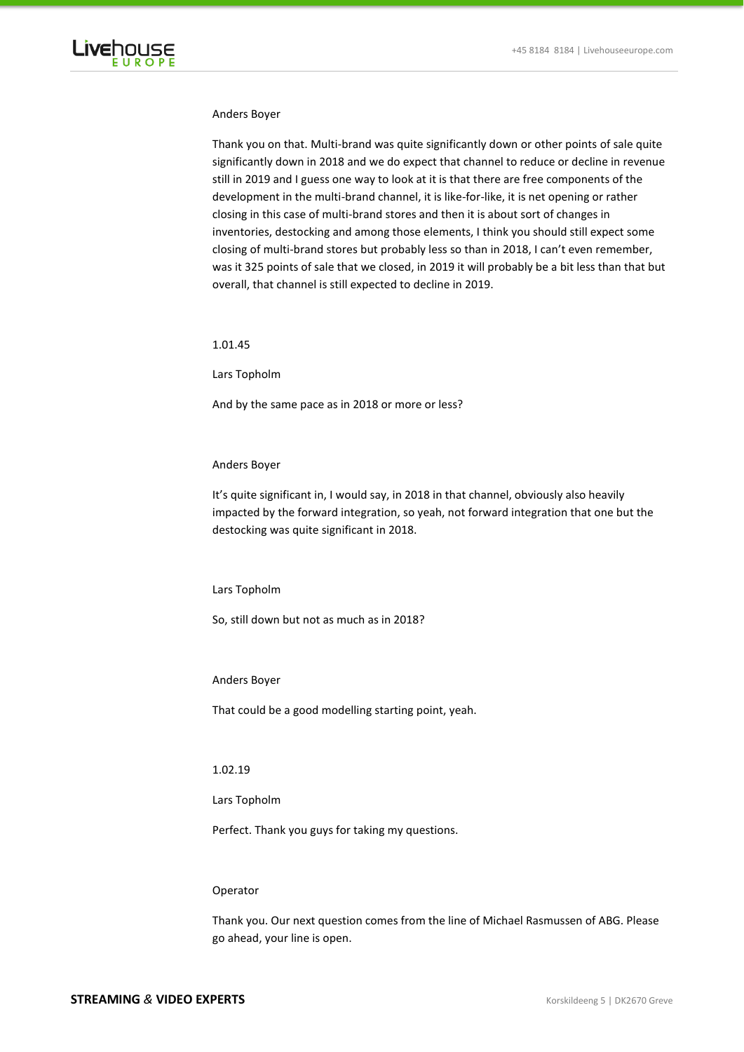

### Anders Boyer

Thank you on that. Multi-brand was quite significantly down or other points of sale quite significantly down in 2018 and we do expect that channel to reduce or decline in revenue still in 2019 and I guess one way to look at it is that there are free components of the development in the multi-brand channel, it is like-for-like, it is net opening or rather closing in this case of multi-brand stores and then it is about sort of changes in inventories, destocking and among those elements, I think you should still expect some closing of multi-brand stores but probably less so than in 2018, I can't even remember, was it 325 points of sale that we closed, in 2019 it will probably be a bit less than that but overall, that channel is still expected to decline in 2019.

1.01.45

Lars Topholm

And by the same pace as in 2018 or more or less?

#### Anders Boyer

It's quite significant in, I would say, in 2018 in that channel, obviously also heavily impacted by the forward integration, so yeah, not forward integration that one but the destocking was quite significant in 2018.

### Lars Topholm

So, still down but not as much as in 2018?

### Anders Boyer

That could be a good modelling starting point, yeah.

# 1.02.19

Lars Topholm

Perfect. Thank you guys for taking my questions.

# Operator

Thank you. Our next question comes from the line of Michael Rasmussen of ABG. Please go ahead, your line is open.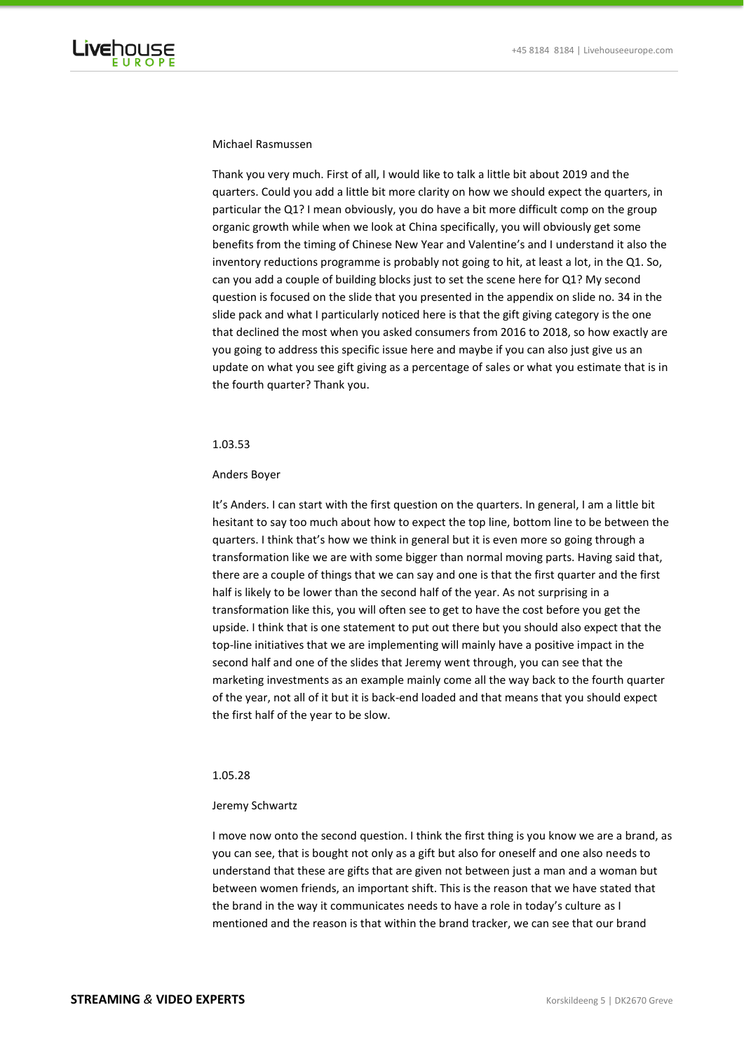

# Michael Rasmussen

Thank you very much. First of all, I would like to talk a little bit about 2019 and the quarters. Could you add a little bit more clarity on how we should expect the quarters, in particular the Q1? I mean obviously, you do have a bit more difficult comp on the group organic growth while when we look at China specifically, you will obviously get some benefits from the timing of Chinese New Year and Valentine's and I understand it also the inventory reductions programme is probably not going to hit, at least a lot, in the Q1. So, can you add a couple of building blocks just to set the scene here for Q1? My second question is focused on the slide that you presented in the appendix on slide no. 34 in the slide pack and what I particularly noticed here is that the gift giving category is the one that declined the most when you asked consumers from 2016 to 2018, so how exactly are you going to address this specific issue here and maybe if you can also just give us an update on what you see gift giving as a percentage of sales or what you estimate that is in the fourth quarter? Thank you.

### 1.03.53

### Anders Boyer

It's Anders. I can start with the first question on the quarters. In general, I am a little bit hesitant to say too much about how to expect the top line, bottom line to be between the quarters. I think that's how we think in general but it is even more so going through a transformation like we are with some bigger than normal moving parts. Having said that, there are a couple of things that we can say and one is that the first quarter and the first half is likely to be lower than the second half of the year. As not surprising in a transformation like this, you will often see to get to have the cost before you get the upside. I think that is one statement to put out there but you should also expect that the top-line initiatives that we are implementing will mainly have a positive impact in the second half and one of the slides that Jeremy went through, you can see that the marketing investments as an example mainly come all the way back to the fourth quarter of the year, not all of it but it is back-end loaded and that means that you should expect the first half of the year to be slow.

### 1.05.28

#### Jeremy Schwartz

I move now onto the second question. I think the first thing is you know we are a brand, as you can see, that is bought not only as a gift but also for oneself and one also needs to understand that these are gifts that are given not between just a man and a woman but between women friends, an important shift. This is the reason that we have stated that the brand in the way it communicates needs to have a role in today's culture as I mentioned and the reason is that within the brand tracker, we can see that our brand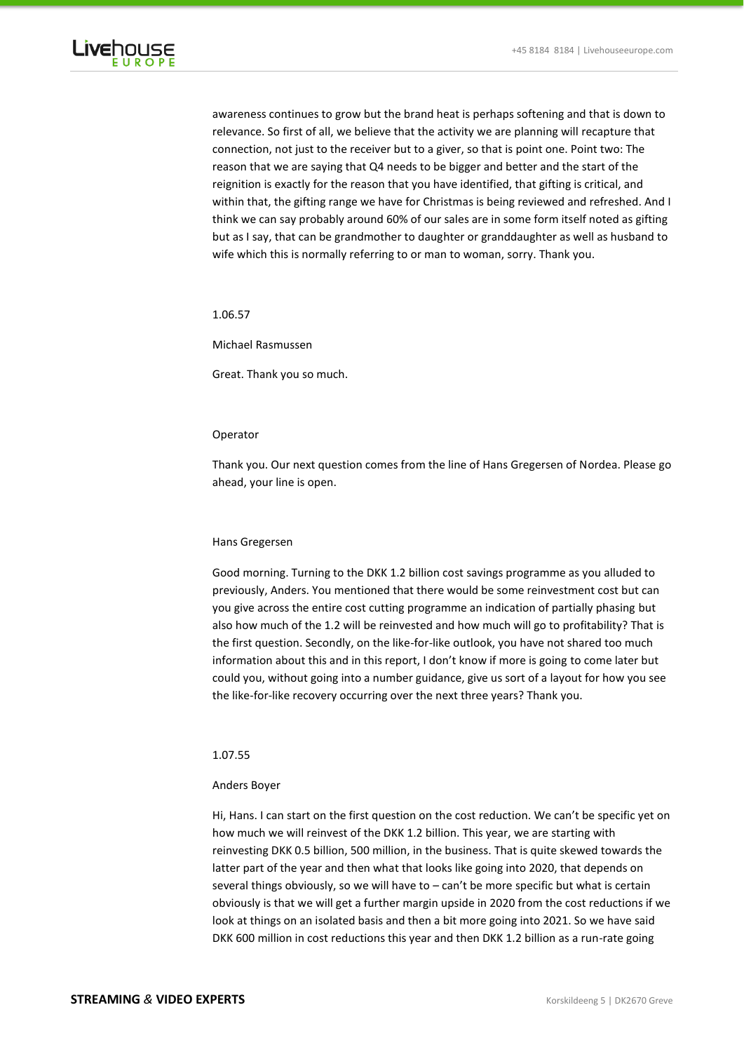

awareness continues to grow but the brand heat is perhaps softening and that is down to relevance. So first of all, we believe that the activity we are planning will recapture that connection, not just to the receiver but to a giver, so that is point one. Point two: The reason that we are saying that Q4 needs to be bigger and better and the start of the reignition is exactly for the reason that you have identified, that gifting is critical, and within that, the gifting range we have for Christmas is being reviewed and refreshed. And I think we can say probably around 60% of our sales are in some form itself noted as gifting but as I say, that can be grandmother to daughter or granddaughter as well as husband to wife which this is normally referring to or man to woman, sorry. Thank you.

1.06.57

Michael Rasmussen

Great. Thank you so much.

# Operator

Thank you. Our next question comes from the line of Hans Gregersen of Nordea. Please go ahead, your line is open.

#### Hans Gregersen

Good morning. Turning to the DKK 1.2 billion cost savings programme as you alluded to previously, Anders. You mentioned that there would be some reinvestment cost but can you give across the entire cost cutting programme an indication of partially phasing but also how much of the 1.2 will be reinvested and how much will go to profitability? That is the first question. Secondly, on the like-for-like outlook, you have not shared too much information about this and in this report, I don't know if more is going to come later but could you, without going into a number guidance, give us sort of a layout for how you see the like-for-like recovery occurring over the next three years? Thank you.

#### 1.07.55

# Anders Boyer

Hi, Hans. I can start on the first question on the cost reduction. We can't be specific yet on how much we will reinvest of the DKK 1.2 billion. This year, we are starting with reinvesting DKK 0.5 billion, 500 million, in the business. That is quite skewed towards the latter part of the year and then what that looks like going into 2020, that depends on several things obviously, so we will have to – can't be more specific but what is certain obviously is that we will get a further margin upside in 2020 from the cost reductions if we look at things on an isolated basis and then a bit more going into 2021. So we have said DKK 600 million in cost reductions this year and then DKK 1.2 billion as a run-rate going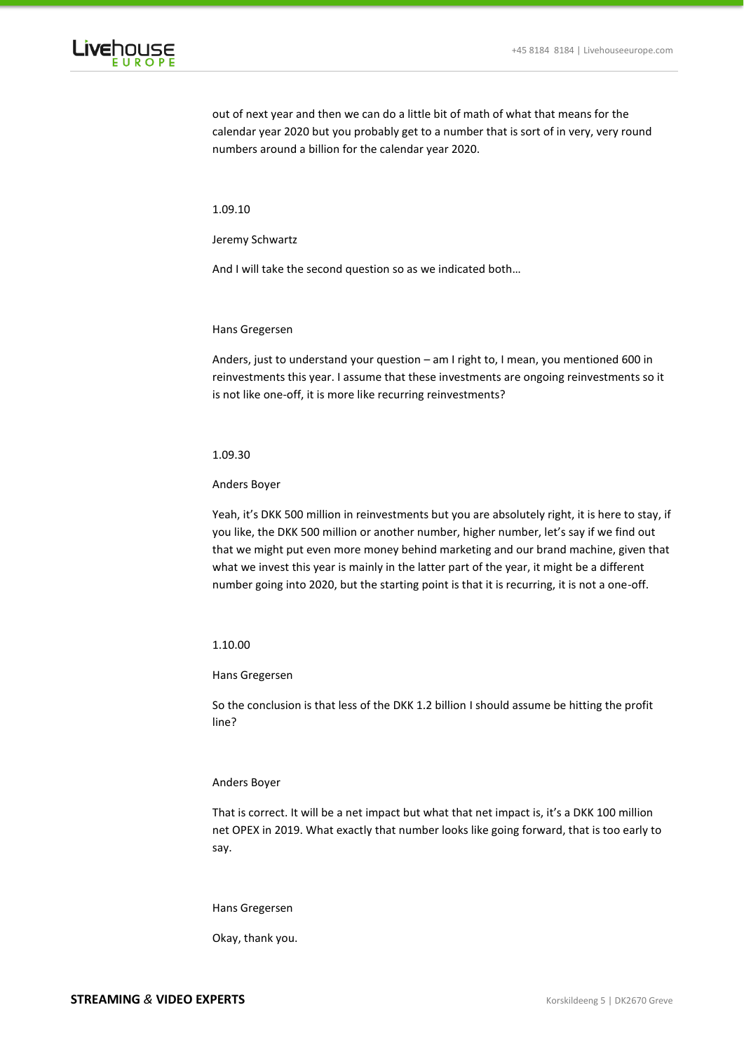

out of next year and then we can do a little bit of math of what that means for the calendar year 2020 but you probably get to a number that is sort of in very, very round numbers around a billion for the calendar year 2020.

1.09.10

Jeremy Schwartz

And I will take the second question so as we indicated both…

Hans Gregersen

Anders, just to understand your question – am I right to, I mean, you mentioned 600 in reinvestments this year. I assume that these investments are ongoing reinvestments so it is not like one-off, it is more like recurring reinvestments?

1.09.30

Anders Boyer

Yeah, it's DKK 500 million in reinvestments but you are absolutely right, it is here to stay, if you like, the DKK 500 million or another number, higher number, let's say if we find out that we might put even more money behind marketing and our brand machine, given that what we invest this year is mainly in the latter part of the year, it might be a different number going into 2020, but the starting point is that it is recurring, it is not a one-off.

#### 1.10.00

# Hans Gregersen

So the conclusion is that less of the DKK 1.2 billion I should assume be hitting the profit line?

#### Anders Boyer

That is correct. It will be a net impact but what that net impact is, it's a DKK 100 million net OPEX in 2019. What exactly that number looks like going forward, that is too early to say.

Hans Gregersen

Okay, thank you.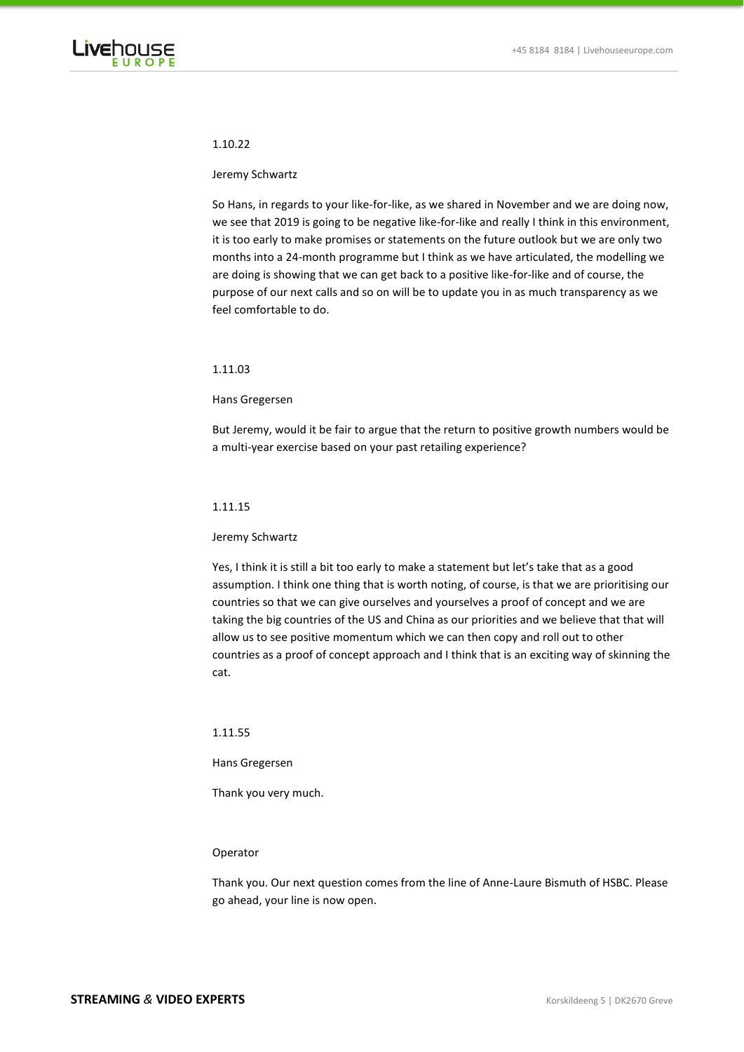

# 1.10.22

#### Jeremy Schwartz

So Hans, in regards to your like-for-like, as we shared in November and we are doing now, we see that 2019 is going to be negative like-for-like and really I think in this environment, it is too early to make promises or statements on the future outlook but we are only two months into a 24-month programme but I think as we have articulated, the modelling we are doing is showing that we can get back to a positive like-for-like and of course, the purpose of our next calls and so on will be to update you in as much transparency as we feel comfortable to do.

# 1.11.03

### Hans Gregersen

But Jeremy, would it be fair to argue that the return to positive growth numbers would be a multi-year exercise based on your past retailing experience?

#### 1.11.15

#### Jeremy Schwartz

Yes, I think it is still a bit too early to make a statement but let's take that as a good assumption. I think one thing that is worth noting, of course, is that we are prioritising our countries so that we can give ourselves and yourselves a proof of concept and we are taking the big countries of the US and China as our priorities and we believe that that will allow us to see positive momentum which we can then copy and roll out to other countries as a proof of concept approach and I think that is an exciting way of skinning the cat.

#### 1.11.55

#### Hans Gregersen

Thank you very much.

# Operator

Thank you. Our next question comes from the line of Anne-Laure Bismuth of HSBC. Please go ahead, your line is now open.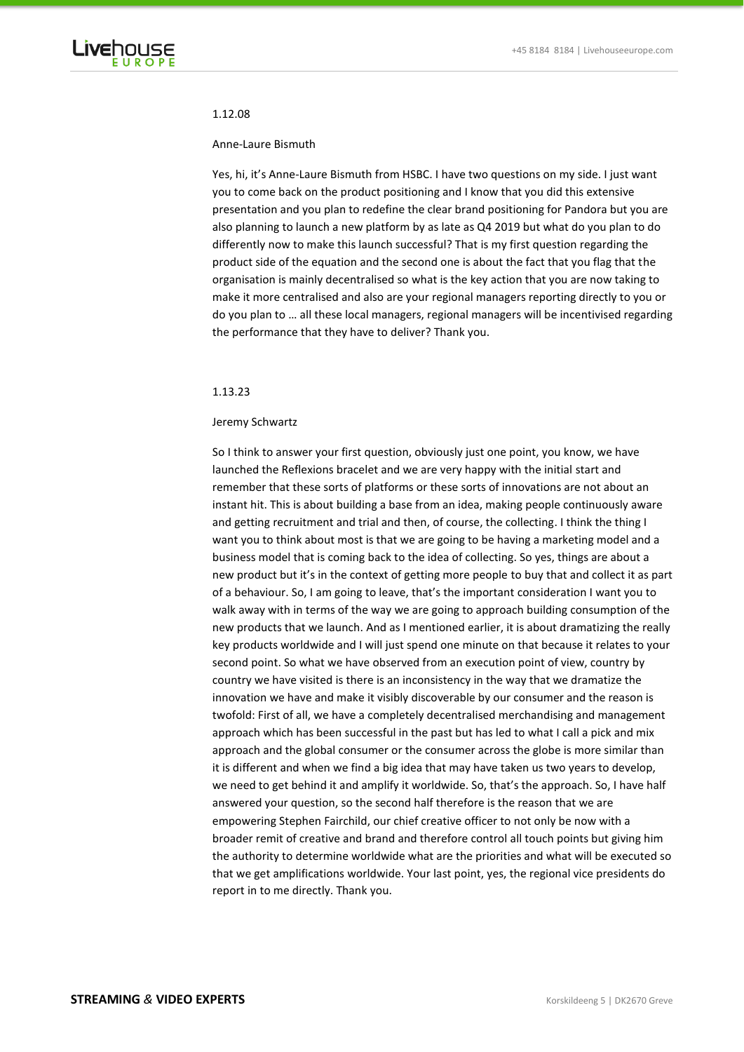

### 1.12.08

#### Anne-Laure Bismuth

Yes, hi, it's Anne-Laure Bismuth from HSBC. I have two questions on my side. I just want you to come back on the product positioning and I know that you did this extensive presentation and you plan to redefine the clear brand positioning for Pandora but you are also planning to launch a new platform by as late as Q4 2019 but what do you plan to do differently now to make this launch successful? That is my first question regarding the product side of the equation and the second one is about the fact that you flag that the organisation is mainly decentralised so what is the key action that you are now taking to make it more centralised and also are your regional managers reporting directly to you or do you plan to … all these local managers, regional managers will be incentivised regarding the performance that they have to deliver? Thank you.

### 1.13.23

### Jeremy Schwartz

So I think to answer your first question, obviously just one point, you know, we have launched the Reflexions bracelet and we are very happy with the initial start and remember that these sorts of platforms or these sorts of innovations are not about an instant hit. This is about building a base from an idea, making people continuously aware and getting recruitment and trial and then, of course, the collecting. I think the thing I want you to think about most is that we are going to be having a marketing model and a business model that is coming back to the idea of collecting. So yes, things are about a new product but it's in the context of getting more people to buy that and collect it as part of a behaviour. So, I am going to leave, that's the important consideration I want you to walk away with in terms of the way we are going to approach building consumption of the new products that we launch. And as I mentioned earlier, it is about dramatizing the really key products worldwide and I will just spend one minute on that because it relates to your second point. So what we have observed from an execution point of view, country by country we have visited is there is an inconsistency in the way that we dramatize the innovation we have and make it visibly discoverable by our consumer and the reason is twofold: First of all, we have a completely decentralised merchandising and management approach which has been successful in the past but has led to what I call a pick and mix approach and the global consumer or the consumer across the globe is more similar than it is different and when we find a big idea that may have taken us two years to develop, we need to get behind it and amplify it worldwide. So, that's the approach. So, I have half answered your question, so the second half therefore is the reason that we are empowering Stephen Fairchild, our chief creative officer to not only be now with a broader remit of creative and brand and therefore control all touch points but giving him the authority to determine worldwide what are the priorities and what will be executed so that we get amplifications worldwide. Your last point, yes, the regional vice presidents do report in to me directly. Thank you.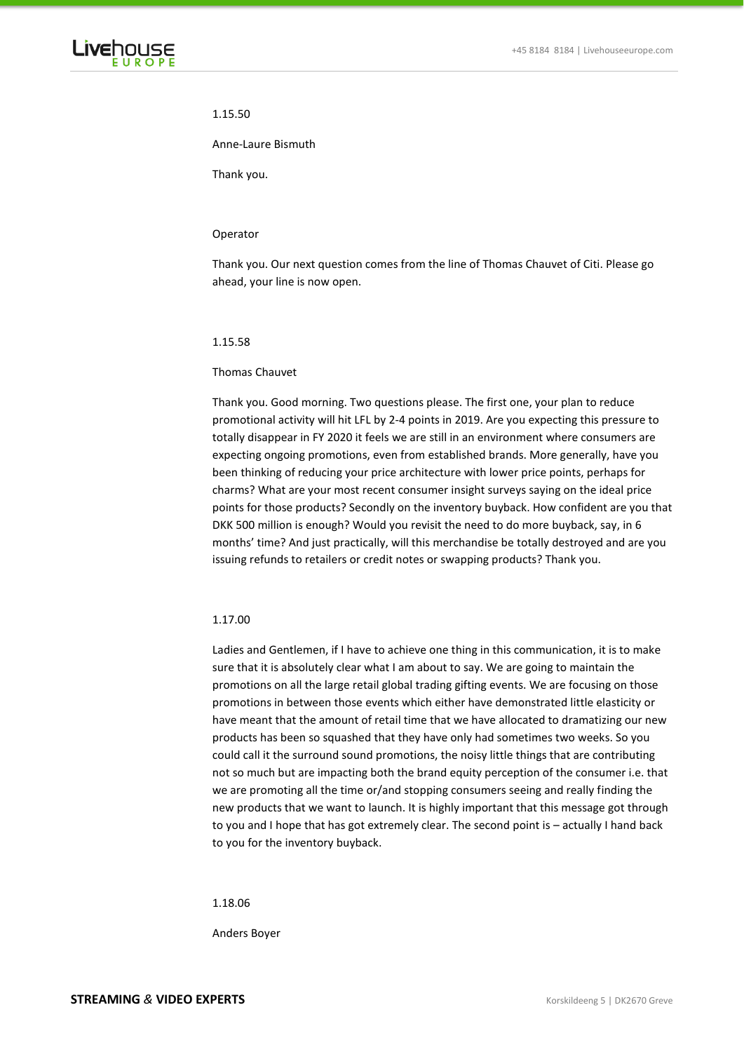

# 1.15.50

## Anne-Laure Bismuth

Thank you.

### Operator

Thank you. Our next question comes from the line of Thomas Chauvet of Citi. Please go ahead, your line is now open.

# 1.15.58

### Thomas Chauvet

Thank you. Good morning. Two questions please. The first one, your plan to reduce promotional activity will hit LFL by 2-4 points in 2019. Are you expecting this pressure to totally disappear in FY 2020 it feels we are still in an environment where consumers are expecting ongoing promotions, even from established brands. More generally, have you been thinking of reducing your price architecture with lower price points, perhaps for charms? What are your most recent consumer insight surveys saying on the ideal price points for those products? Secondly on the inventory buyback. How confident are you that DKK 500 million is enough? Would you revisit the need to do more buyback, say, in 6 months' time? And just practically, will this merchandise be totally destroyed and are you issuing refunds to retailers or credit notes or swapping products? Thank you.

# 1.17.00

Ladies and Gentlemen, if I have to achieve one thing in this communication, it is to make sure that it is absolutely clear what I am about to say. We are going to maintain the promotions on all the large retail global trading gifting events. We are focusing on those promotions in between those events which either have demonstrated little elasticity or have meant that the amount of retail time that we have allocated to dramatizing our new products has been so squashed that they have only had sometimes two weeks. So you could call it the surround sound promotions, the noisy little things that are contributing not so much but are impacting both the brand equity perception of the consumer i.e. that we are promoting all the time or/and stopping consumers seeing and really finding the new products that we want to launch. It is highly important that this message got through to you and I hope that has got extremely clear. The second point is – actually I hand back to you for the inventory buyback.

1.18.06

Anders Boyer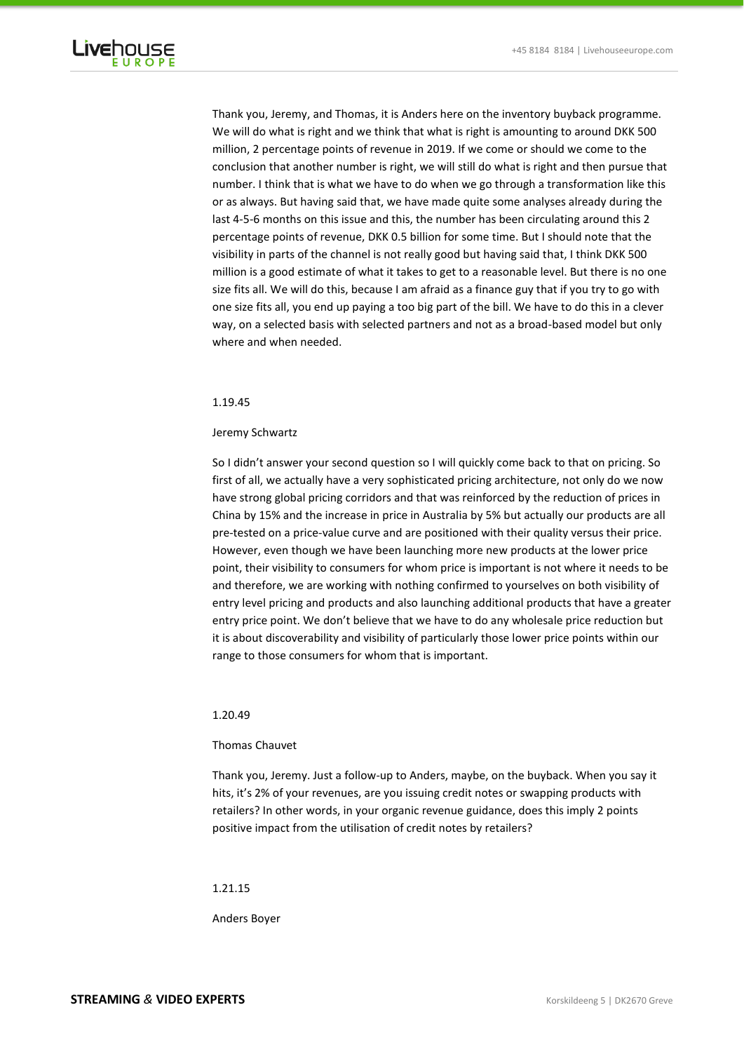

Thank you, Jeremy, and Thomas, it is Anders here on the inventory buyback programme. We will do what is right and we think that what is right is amounting to around DKK 500 million, 2 percentage points of revenue in 2019. If we come or should we come to the conclusion that another number is right, we will still do what is right and then pursue that number. I think that is what we have to do when we go through a transformation like this or as always. But having said that, we have made quite some analyses already during the last 4-5-6 months on this issue and this, the number has been circulating around this 2 percentage points of revenue, DKK 0.5 billion for some time. But I should note that the visibility in parts of the channel is not really good but having said that, I think DKK 500 million is a good estimate of what it takes to get to a reasonable level. But there is no one size fits all. We will do this, because I am afraid as a finance guy that if you try to go with one size fits all, you end up paying a too big part of the bill. We have to do this in a clever way, on a selected basis with selected partners and not as a broad-based model but only where and when needed.

# 1.19.45

# Jeremy Schwartz

So I didn't answer your second question so I will quickly come back to that on pricing. So first of all, we actually have a very sophisticated pricing architecture, not only do we now have strong global pricing corridors and that was reinforced by the reduction of prices in China by 15% and the increase in price in Australia by 5% but actually our products are all pre-tested on a price-value curve and are positioned with their quality versus their price. However, even though we have been launching more new products at the lower price point, their visibility to consumers for whom price is important is not where it needs to be and therefore, we are working with nothing confirmed to yourselves on both visibility of entry level pricing and products and also launching additional products that have a greater entry price point. We don't believe that we have to do any wholesale price reduction but it is about discoverability and visibility of particularly those lower price points within our range to those consumers for whom that is important.

# 1.20.49

# Thomas Chauvet

Thank you, Jeremy. Just a follow-up to Anders, maybe, on the buyback. When you say it hits, it's 2% of your revenues, are you issuing credit notes or swapping products with retailers? In other words, in your organic revenue guidance, does this imply 2 points positive impact from the utilisation of credit notes by retailers?

# 1.21.15

Anders Boyer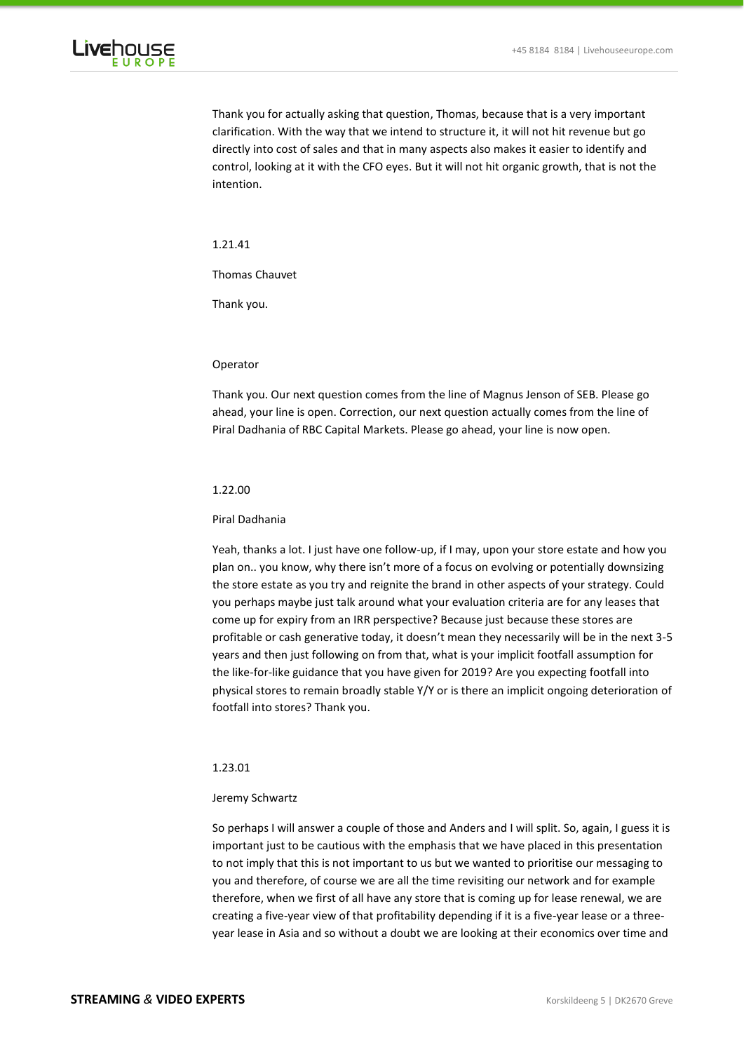

Thank you for actually asking that question, Thomas, because that is a very important clarification. With the way that we intend to structure it, it will not hit revenue but go directly into cost of sales and that in many aspects also makes it easier to identify and control, looking at it with the CFO eyes. But it will not hit organic growth, that is not the intention.

# 1.21.41

Thomas Chauvet

Thank you.

# Operator

Thank you. Our next question comes from the line of Magnus Jenson of SEB. Please go ahead, your line is open. Correction, our next question actually comes from the line of Piral Dadhania of RBC Capital Markets. Please go ahead, your line is now open.

# 1.22.00

#### Piral Dadhania

Yeah, thanks a lot. I just have one follow-up, if I may, upon your store estate and how you plan on.. you know, why there isn't more of a focus on evolving or potentially downsizing the store estate as you try and reignite the brand in other aspects of your strategy. Could you perhaps maybe just talk around what your evaluation criteria are for any leases that come up for expiry from an IRR perspective? Because just because these stores are profitable or cash generative today, it doesn't mean they necessarily will be in the next 3-5 years and then just following on from that, what is your implicit footfall assumption for the like-for-like guidance that you have given for 2019? Are you expecting footfall into physical stores to remain broadly stable Y/Y or is there an implicit ongoing deterioration of footfall into stores? Thank you.

# 1.23.01

### Jeremy Schwartz

So perhaps I will answer a couple of those and Anders and I will split. So, again, I guess it is important just to be cautious with the emphasis that we have placed in this presentation to not imply that this is not important to us but we wanted to prioritise our messaging to you and therefore, of course we are all the time revisiting our network and for example therefore, when we first of all have any store that is coming up for lease renewal, we are creating a five-year view of that profitability depending if it is a five-year lease or a threeyear lease in Asia and so without a doubt we are looking at their economics over time and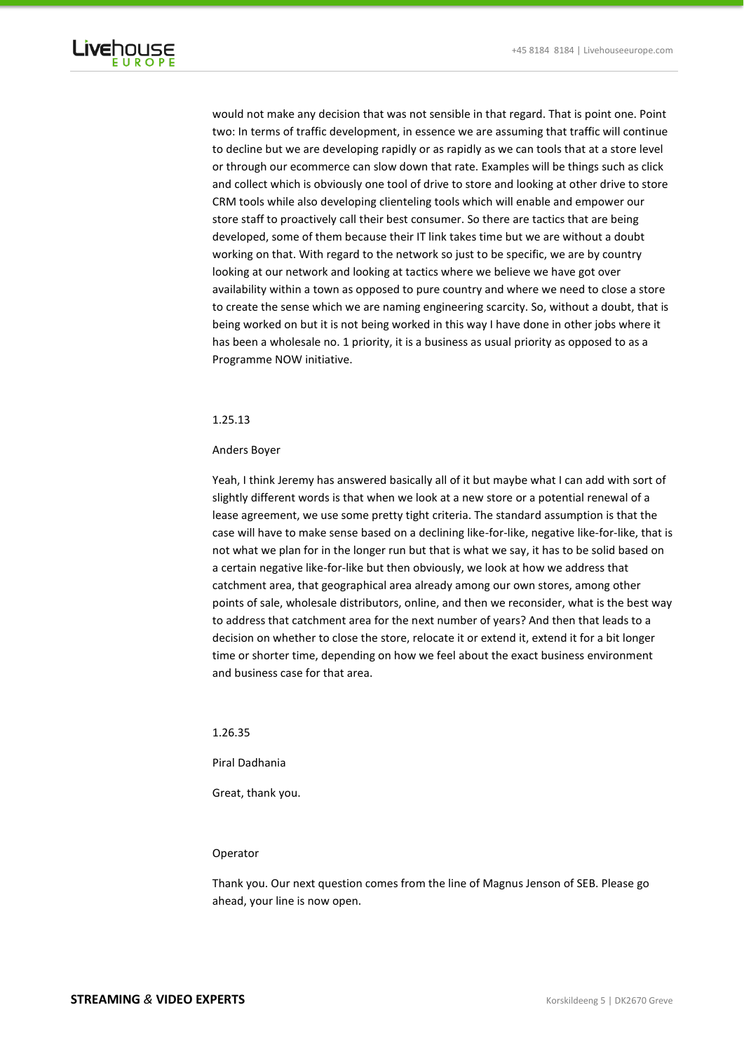

would not make any decision that was not sensible in that regard. That is point one. Point two: In terms of traffic development, in essence we are assuming that traffic will continue to decline but we are developing rapidly or as rapidly as we can tools that at a store level or through our ecommerce can slow down that rate. Examples will be things such as click and collect which is obviously one tool of drive to store and looking at other drive to store CRM tools while also developing clienteling tools which will enable and empower our store staff to proactively call their best consumer. So there are tactics that are being developed, some of them because their IT link takes time but we are without a doubt working on that. With regard to the network so just to be specific, we are by country looking at our network and looking at tactics where we believe we have got over availability within a town as opposed to pure country and where we need to close a store to create the sense which we are naming engineering scarcity. So, without a doubt, that is being worked on but it is not being worked in this way I have done in other jobs where it has been a wholesale no. 1 priority, it is a business as usual priority as opposed to as a Programme NOW initiative.

# 1.25.13

### Anders Boyer

Yeah, I think Jeremy has answered basically all of it but maybe what I can add with sort of slightly different words is that when we look at a new store or a potential renewal of a lease agreement, we use some pretty tight criteria. The standard assumption is that the case will have to make sense based on a declining like-for-like, negative like-for-like, that is not what we plan for in the longer run but that is what we say, it has to be solid based on a certain negative like-for-like but then obviously, we look at how we address that catchment area, that geographical area already among our own stores, among other points of sale, wholesale distributors, online, and then we reconsider, what is the best way to address that catchment area for the next number of years? And then that leads to a decision on whether to close the store, relocate it or extend it, extend it for a bit longer time or shorter time, depending on how we feel about the exact business environment and business case for that area.

# 1.26.35

# Piral Dadhania

Great, thank you.

# Operator

Thank you. Our next question comes from the line of Magnus Jenson of SEB. Please go ahead, your line is now open.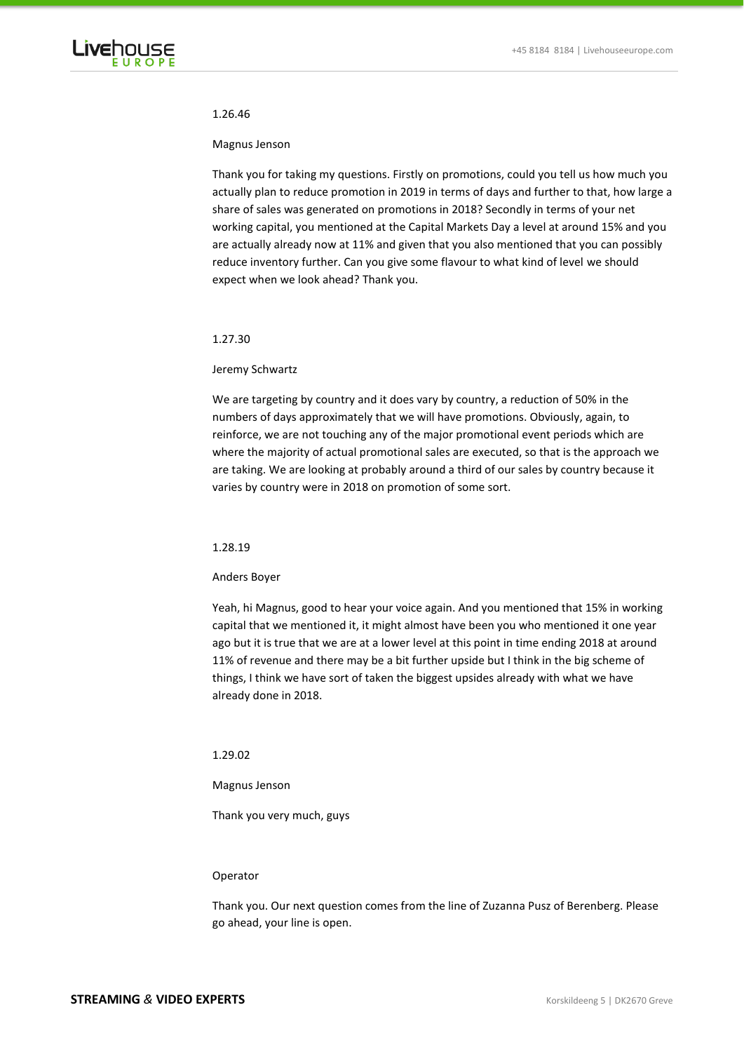

#### 1.26.46

### Magnus Jenson

Thank you for taking my questions. Firstly on promotions, could you tell us how much you actually plan to reduce promotion in 2019 in terms of days and further to that, how large a share of sales was generated on promotions in 2018? Secondly in terms of your net working capital, you mentioned at the Capital Markets Day a level at around 15% and you are actually already now at 11% and given that you also mentioned that you can possibly reduce inventory further. Can you give some flavour to what kind of level we should expect when we look ahead? Thank you.

### 1.27.30

### Jeremy Schwartz

We are targeting by country and it does vary by country, a reduction of 50% in the numbers of days approximately that we will have promotions. Obviously, again, to reinforce, we are not touching any of the major promotional event periods which are where the majority of actual promotional sales are executed, so that is the approach we are taking. We are looking at probably around a third of our sales by country because it varies by country were in 2018 on promotion of some sort.

### 1.28.19

#### Anders Boyer

Yeah, hi Magnus, good to hear your voice again. And you mentioned that 15% in working capital that we mentioned it, it might almost have been you who mentioned it one year ago but it is true that we are at a lower level at this point in time ending 2018 at around 11% of revenue and there may be a bit further upside but I think in the big scheme of things, I think we have sort of taken the biggest upsides already with what we have already done in 2018.

# 1.29.02

Magnus Jenson

Thank you very much, guys

#### Operator

Thank you. Our next question comes from the line of Zuzanna Pusz of Berenberg. Please go ahead, your line is open.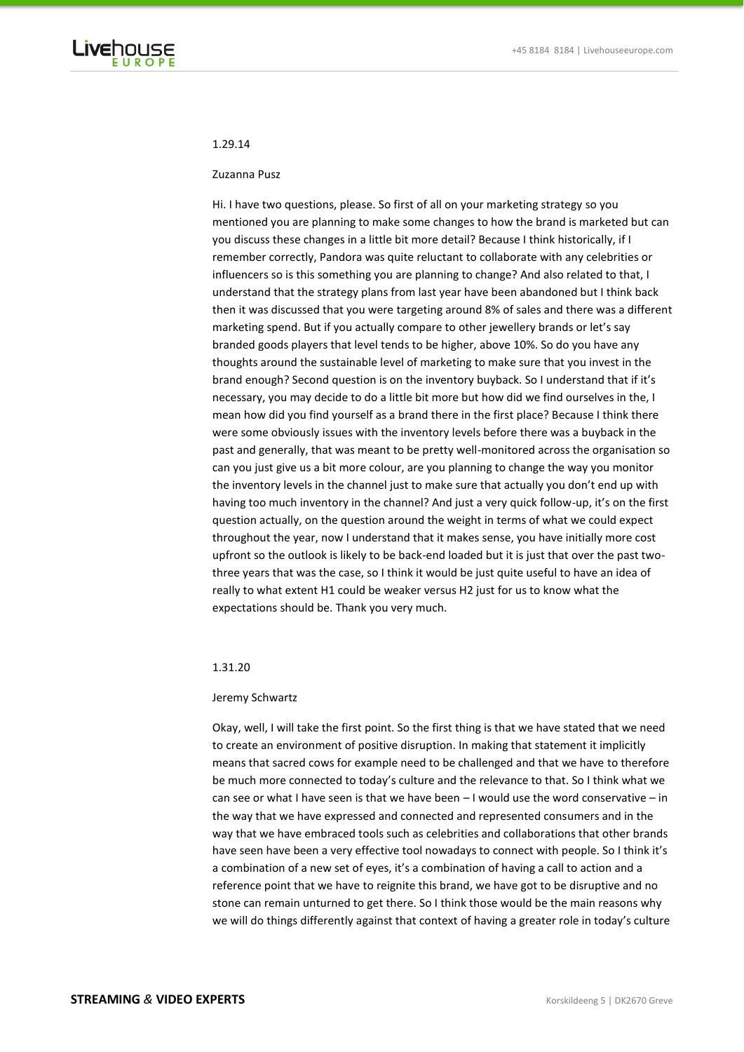

# 1.29.14

### Zuzanna Pusz

Hi. I have two questions, please. So first of all on your marketing strategy so you mentioned you are planning to make some changes to how the brand is marketed but can you discuss these changes in a little bit more detail? Because I think historically, if I remember correctly, Pandora was quite reluctant to collaborate with any celebrities or influencers so is this something you are planning to change? And also related to that, I understand that the strategy plans from last year have been abandoned but I think back then it was discussed that you were targeting around 8% of sales and there was a different marketing spend. But if you actually compare to other jewellery brands or let's say branded goods players that level tends to be higher, above 10%. So do you have any thoughts around the sustainable level of marketing to make sure that you invest in the brand enough? Second question is on the inventory buyback. So I understand that if it's necessary, you may decide to do a little bit more but how did we find ourselves in the, I mean how did you find yourself as a brand there in the first place? Because I think there were some obviously issues with the inventory levels before there was a buyback in the past and generally, that was meant to be pretty well-monitored across the organisation so can you just give us a bit more colour, are you planning to change the way you monitor the inventory levels in the channel just to make sure that actually you don't end up with having too much inventory in the channel? And just a very quick follow-up, it's on the first question actually, on the question around the weight in terms of what we could expect throughout the year, now I understand that it makes sense, you have initially more cost upfront so the outlook is likely to be back-end loaded but it is just that over the past twothree years that was the case, so I think it would be just quite useful to have an idea of really to what extent H1 could be weaker versus H2 just for us to know what the expectations should be. Thank you very much.

# 1.31.20

# Jeremy Schwartz

Okay, well, I will take the first point. So the first thing is that we have stated that we need to create an environment of positive disruption. In making that statement it implicitly means that sacred cows for example need to be challenged and that we have to therefore be much more connected to today's culture and the relevance to that. So I think what we can see or what I have seen is that we have been  $-1$  would use the word conservative  $-$  in the way that we have expressed and connected and represented consumers and in the way that we have embraced tools such as celebrities and collaborations that other brands have seen have been a very effective tool nowadays to connect with people. So I think it's a combination of a new set of eyes, it's a combination of having a call to action and a reference point that we have to reignite this brand, we have got to be disruptive and no stone can remain unturned to get there. So I think those would be the main reasons why we will do things differently against that context of having a greater role in today's culture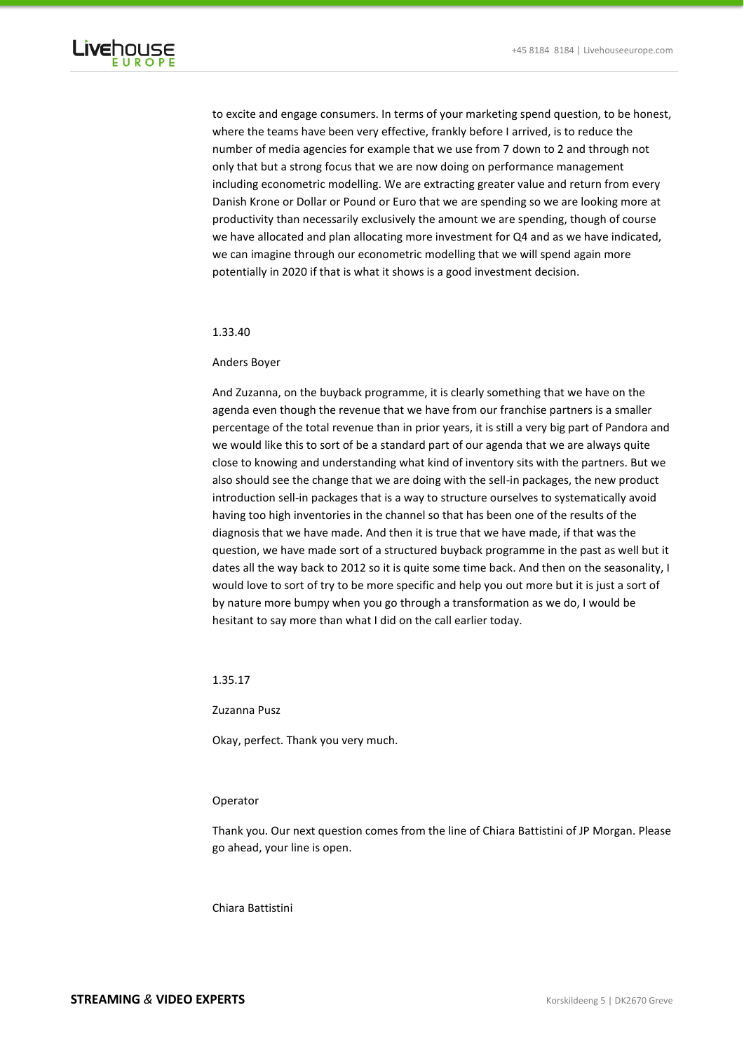

to excite and engage consumers. In terms of your marketing spend question, to be honest, where the teams have been very effective, frankly before I arrived, is to reduce the number of media agencies for example that we use from 7 down to 2 and through not only that but a strong focus that we are now doing on performance management including econometric modelling. We are extracting greater value and return from every Danish Krone or Dollar or Pound or Euro that we are spending so we are looking more at productivity than necessarily exclusively the amount we are spending, though of course we have allocated and plan allocating more investment for Q4 and as we have indicated, we can imagine through our econometric modelling that we will spend again more potentially in 2020 if that is what it shows is a good investment decision.

### 1.33.40

# Anders Boyer

And Zuzanna, on the buyback programme, it is clearly something that we have on the agenda even though the revenue that we have from our franchise partners is a smaller percentage of the total revenue than in prior years, it is still a very big part of Pandora and we would like this to sort of be a standard part of our agenda that we are always quite close to knowing and understanding what kind of inventory sits with the partners. But we also should see the change that we are doing with the sell-in packages, the new product introduction sell-in packages that is a way to structure ourselves to systematically avoid having too high inventories in the channel so that has been one of the results of the diagnosis that we have made. And then it is true that we have made, if that was the question, we have made sort of a structured buyback programme in the past as well but it dates all the way back to 2012 so it is quite some time back. And then on the seasonality, I would love to sort of try to be more specific and help you out more but it is just a sort of by nature more bumpy when you go through a transformation as we do, I would be hesitant to say more than what I did on the call earlier today.

1.35.17

Zuzanna Pusz

Okay, perfect. Thank you very much.

# Operator

Thank you. Our next question comes from the line of Chiara Battistini of JP Morgan. Please go ahead, your line is open.

# Chiara Battistini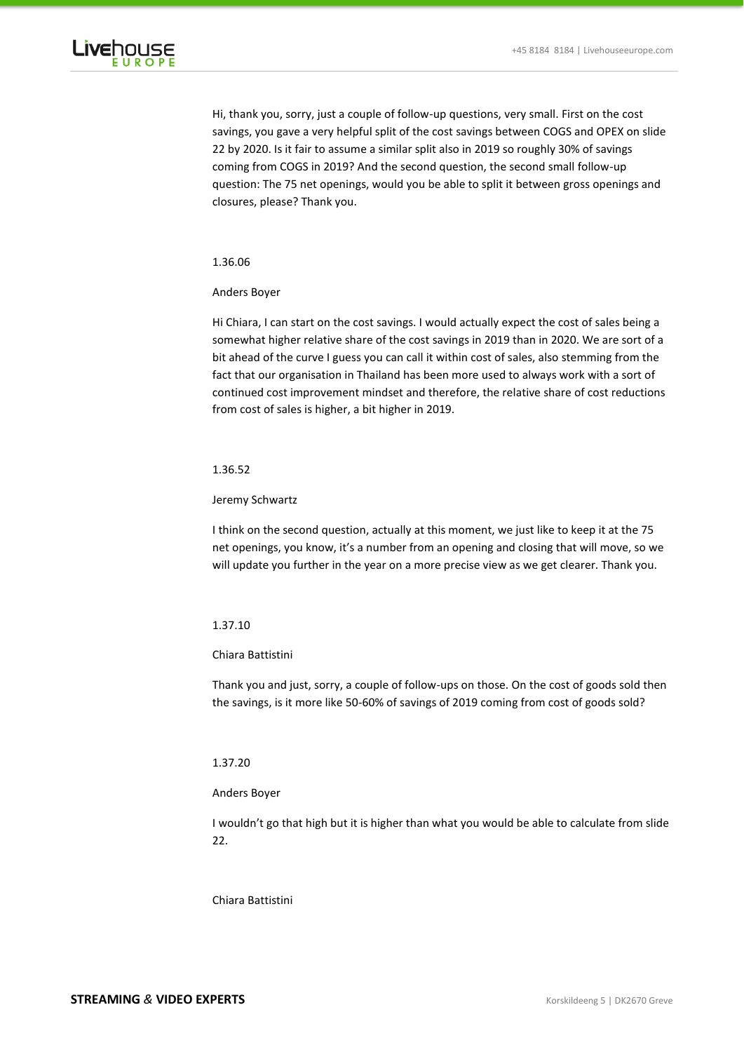

Hi, thank you, sorry, just a couple of follow-up questions, very small. First on the cost savings, you gave a very helpful split of the cost savings between COGS and OPEX on slide 22 by 2020. Is it fair to assume a similar split also in 2019 so roughly 30% of savings coming from COGS in 2019? And the second question, the second small follow-up question: The 75 net openings, would you be able to split it between gross openings and closures, please? Thank you.

# 1.36.06

### Anders Boyer

Hi Chiara, I can start on the cost savings. I would actually expect the cost of sales being a somewhat higher relative share of the cost savings in 2019 than in 2020. We are sort of a bit ahead of the curve I guess you can call it within cost of sales, also stemming from the fact that our organisation in Thailand has been more used to always work with a sort of continued cost improvement mindset and therefore, the relative share of cost reductions from cost of sales is higher, a bit higher in 2019.

# 1.36.52

### Jeremy Schwartz

I think on the second question, actually at this moment, we just like to keep it at the 75 net openings, you know, it's a number from an opening and closing that will move, so we will update you further in the year on a more precise view as we get clearer. Thank you.

# 1.37.10

#### Chiara Battistini

Thank you and just, sorry, a couple of follow-ups on those. On the cost of goods sold then the savings, is it more like 50-60% of savings of 2019 coming from cost of goods sold?

# 1.37.20

# Anders Boyer

I wouldn't go that high but it is higher than what you would be able to calculate from slide 22.

#### Chiara Battistini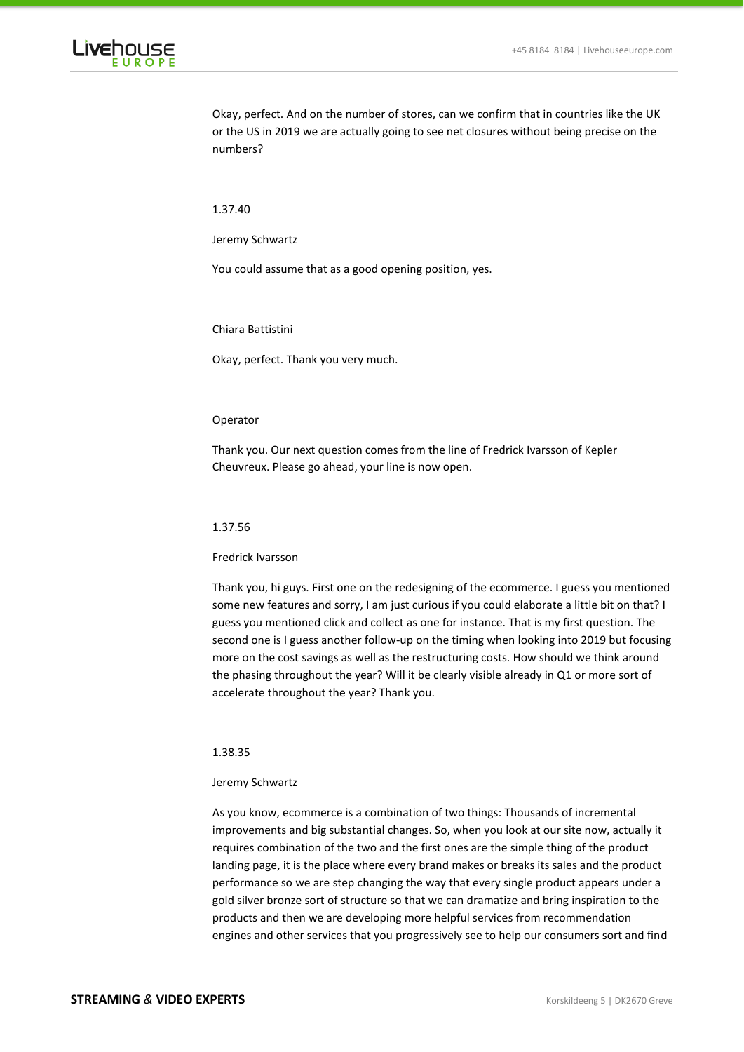

Okay, perfect. And on the number of stores, can we confirm that in countries like the UK or the US in 2019 we are actually going to see net closures without being precise on the numbers?

1.37.40

Jeremy Schwartz

You could assume that as a good opening position, yes.

Chiara Battistini

Okay, perfect. Thank you very much.

# Operator

Thank you. Our next question comes from the line of Fredrick Ivarsson of Kepler Cheuvreux. Please go ahead, your line is now open.

# 1.37.56

### Fredrick Ivarsson

Thank you, hi guys. First one on the redesigning of the ecommerce. I guess you mentioned some new features and sorry, I am just curious if you could elaborate a little bit on that? I guess you mentioned click and collect as one for instance. That is my first question. The second one is I guess another follow-up on the timing when looking into 2019 but focusing more on the cost savings as well as the restructuring costs. How should we think around the phasing throughout the year? Will it be clearly visible already in Q1 or more sort of accelerate throughout the year? Thank you.

# 1.38.35

#### Jeremy Schwartz

As you know, ecommerce is a combination of two things: Thousands of incremental improvements and big substantial changes. So, when you look at our site now, actually it requires combination of the two and the first ones are the simple thing of the product landing page, it is the place where every brand makes or breaks its sales and the product performance so we are step changing the way that every single product appears under a gold silver bronze sort of structure so that we can dramatize and bring inspiration to the products and then we are developing more helpful services from recommendation engines and other services that you progressively see to help our consumers sort and find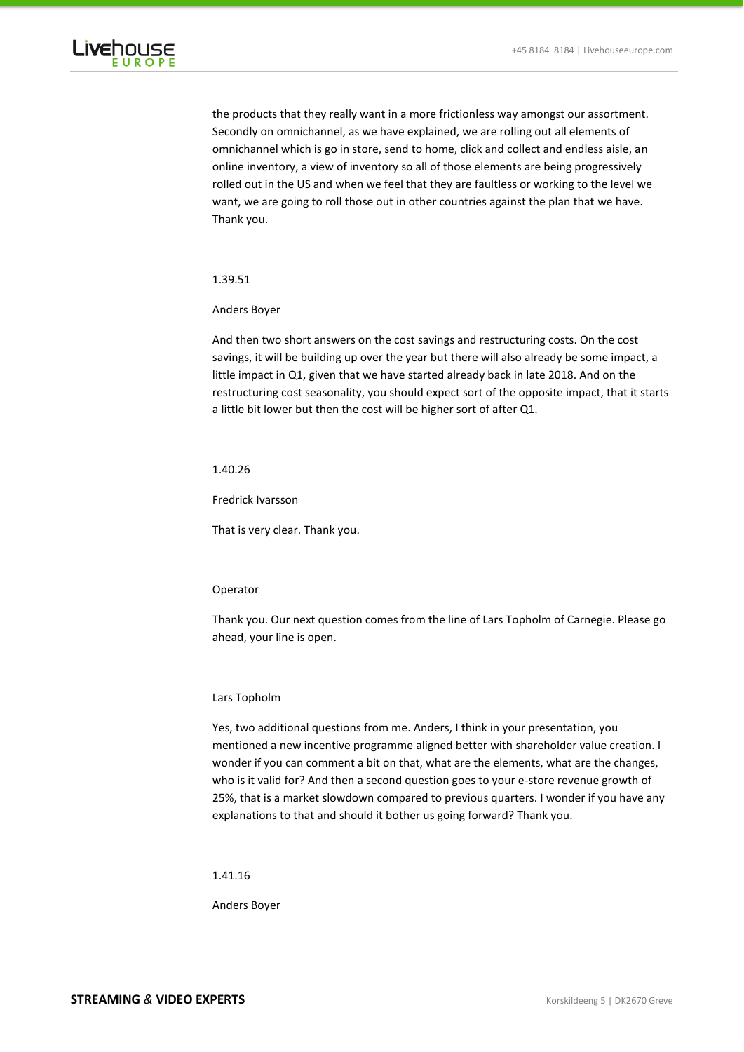

the products that they really want in a more frictionless way amongst our assortment. Secondly on omnichannel, as we have explained, we are rolling out all elements of omnichannel which is go in store, send to home, click and collect and endless aisle, an online inventory, a view of inventory so all of those elements are being progressively rolled out in the US and when we feel that they are faultless or working to the level we want, we are going to roll those out in other countries against the plan that we have. Thank you.

1.39.51

Anders Boyer

And then two short answers on the cost savings and restructuring costs. On the cost savings, it will be building up over the year but there will also already be some impact, a little impact in Q1, given that we have started already back in late 2018. And on the restructuring cost seasonality, you should expect sort of the opposite impact, that it starts a little bit lower but then the cost will be higher sort of after Q1.

# 1.40.26

Fredrick Ivarsson

That is very clear. Thank you.

# Operator

Thank you. Our next question comes from the line of Lars Topholm of Carnegie. Please go ahead, your line is open.

#### Lars Topholm

Yes, two additional questions from me. Anders, I think in your presentation, you mentioned a new incentive programme aligned better with shareholder value creation. I wonder if you can comment a bit on that, what are the elements, what are the changes, who is it valid for? And then a second question goes to your e-store revenue growth of 25%, that is a market slowdown compared to previous quarters. I wonder if you have any explanations to that and should it bother us going forward? Thank you.

1.41.16

Anders Boyer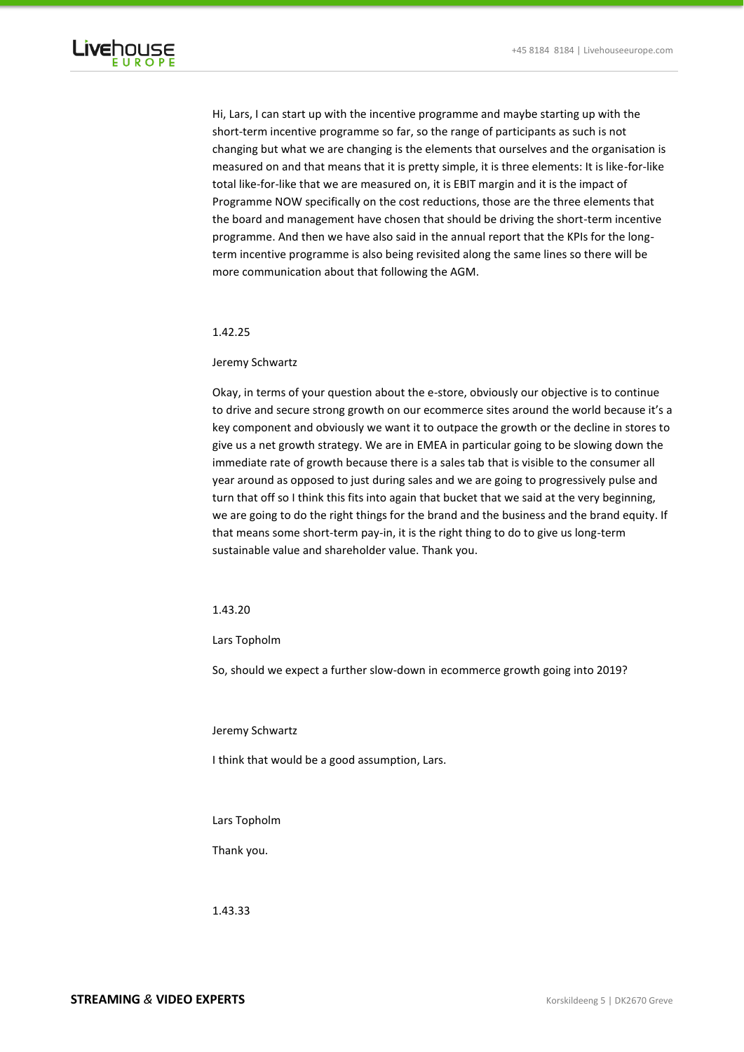

Hi, Lars, I can start up with the incentive programme and maybe starting up with the short-term incentive programme so far, so the range of participants as such is not changing but what we are changing is the elements that ourselves and the organisation is measured on and that means that it is pretty simple, it is three elements: It is like-for-like total like-for-like that we are measured on, it is EBIT margin and it is the impact of Programme NOW specifically on the cost reductions, those are the three elements that the board and management have chosen that should be driving the short-term incentive programme. And then we have also said in the annual report that the KPIs for the longterm incentive programme is also being revisited along the same lines so there will be more communication about that following the AGM.

### 1.42.25

# Jeremy Schwartz

Okay, in terms of your question about the e-store, obviously our objective is to continue to drive and secure strong growth on our ecommerce sites around the world because it's a key component and obviously we want it to outpace the growth or the decline in stores to give us a net growth strategy. We are in EMEA in particular going to be slowing down the immediate rate of growth because there is a sales tab that is visible to the consumer all year around as opposed to just during sales and we are going to progressively pulse and turn that off so I think this fits into again that bucket that we said at the very beginning, we are going to do the right things for the brand and the business and the brand equity. If that means some short-term pay-in, it is the right thing to do to give us long-term sustainable value and shareholder value. Thank you.

# 1.43.20

#### Lars Topholm

So, should we expect a further slow-down in ecommerce growth going into 2019?

Jeremy Schwartz

I think that would be a good assumption, Lars.

Lars Topholm

# Thank you.

1.43.33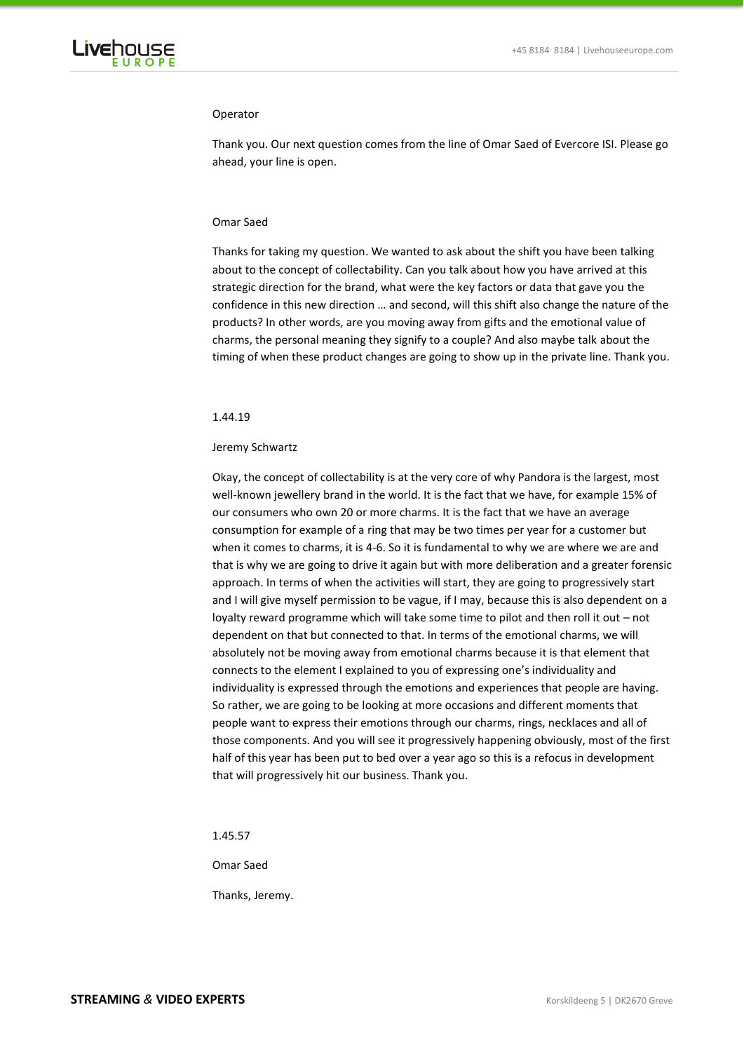

### Operator

Thank you. Our next question comes from the line of Omar Saed of Evercore ISI. Please go ahead, your line is open.

# Omar Saed

Thanks for taking my question. We wanted to ask about the shift you have been talking about to the concept of collectability. Can you talk about how you have arrived at this strategic direction for the brand, what were the key factors or data that gave you the confidence in this new direction … and second, will this shift also change the nature of the products? In other words, are you moving away from gifts and the emotional value of charms, the personal meaning they signify to a couple? And also maybe talk about the timing of when these product changes are going to show up in the private line. Thank you.

# 1.44.19

#### Jeremy Schwartz

Okay, the concept of collectability is at the very core of why Pandora is the largest, most well-known jewellery brand in the world. It is the fact that we have, for example 15% of our consumers who own 20 or more charms. It is the fact that we have an average consumption for example of a ring that may be two times per year for a customer but when it comes to charms, it is 4-6. So it is fundamental to why we are where we are and that is why we are going to drive it again but with more deliberation and a greater forensic approach. In terms of when the activities will start, they are going to progressively start and I will give myself permission to be vague, if I may, because this is also dependent on a loyalty reward programme which will take some time to pilot and then roll it out – not dependent on that but connected to that. In terms of the emotional charms, we will absolutely not be moving away from emotional charms because it is that element that connects to the element I explained to you of expressing one's individuality and individuality is expressed through the emotions and experiences that people are having. So rather, we are going to be looking at more occasions and different moments that people want to express their emotions through our charms, rings, necklaces and all of those components. And you will see it progressively happening obviously, most of the first half of this year has been put to bed over a year ago so this is a refocus in development that will progressively hit our business. Thank you.

1.45.57

Omar Saed

Thanks, Jeremy.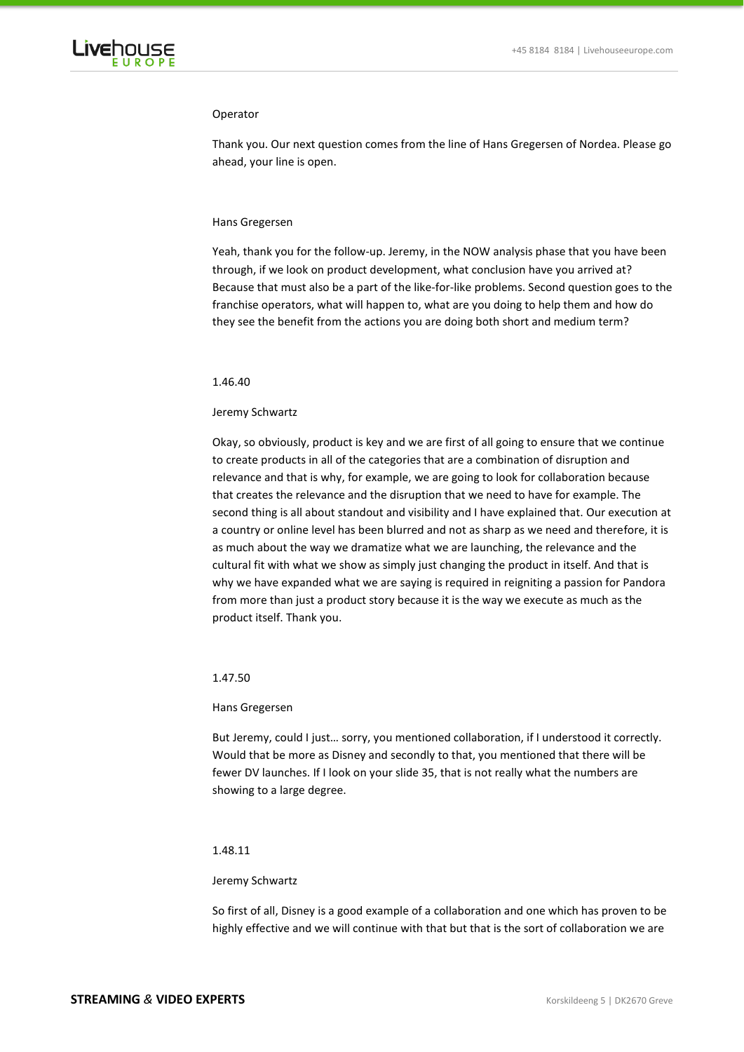

### Operator

Thank you. Our next question comes from the line of Hans Gregersen of Nordea. Please go ahead, your line is open.

### Hans Gregersen

Yeah, thank you for the follow-up. Jeremy, in the NOW analysis phase that you have been through, if we look on product development, what conclusion have you arrived at? Because that must also be a part of the like-for-like problems. Second question goes to the franchise operators, what will happen to, what are you doing to help them and how do they see the benefit from the actions you are doing both short and medium term?

### 1.46.40

### Jeremy Schwartz

Okay, so obviously, product is key and we are first of all going to ensure that we continue to create products in all of the categories that are a combination of disruption and relevance and that is why, for example, we are going to look for collaboration because that creates the relevance and the disruption that we need to have for example. The second thing is all about standout and visibility and I have explained that. Our execution at a country or online level has been blurred and not as sharp as we need and therefore, it is as much about the way we dramatize what we are launching, the relevance and the cultural fit with what we show as simply just changing the product in itself. And that is why we have expanded what we are saying is required in reigniting a passion for Pandora from more than just a product story because it is the way we execute as much as the product itself. Thank you.

# 1.47.50

### Hans Gregersen

But Jeremy, could I just... sorry, you mentioned collaboration, if I understood it correctly. Would that be more as Disney and secondly to that, you mentioned that there will be fewer DV launches. If I look on your slide 35, that is not really what the numbers are showing to a large degree.

# 1.48.11

#### Jeremy Schwartz

So first of all, Disney is a good example of a collaboration and one which has proven to be highly effective and we will continue with that but that is the sort of collaboration we are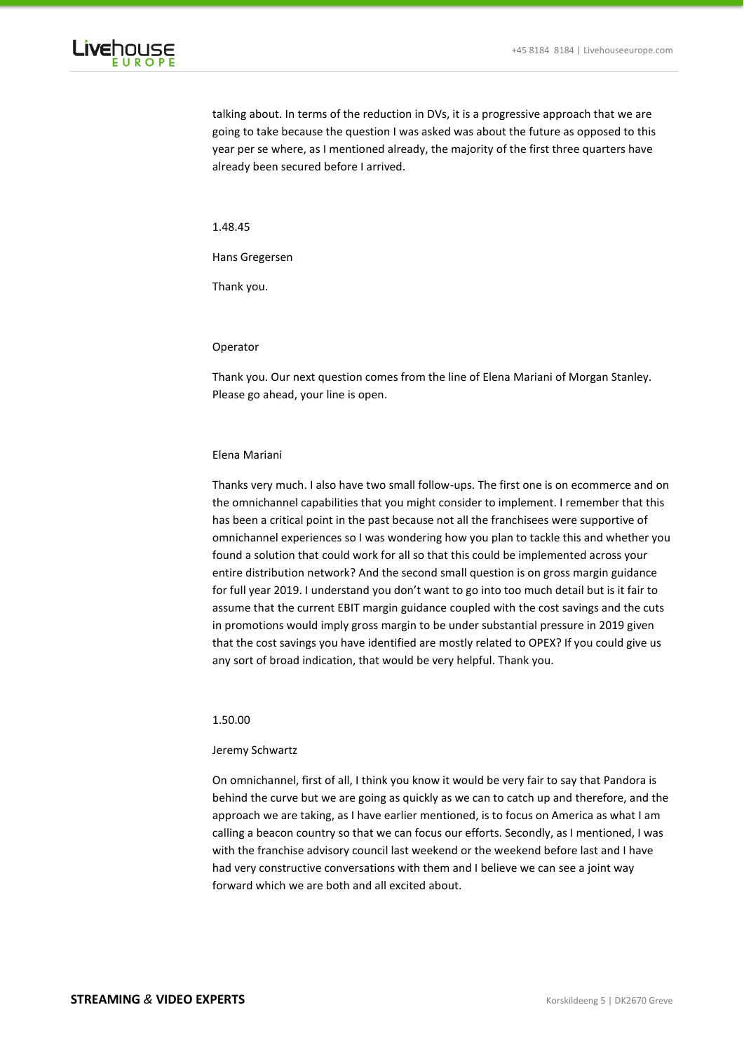

talking about. In terms of the reduction in DVs, it is a progressive approach that we are going to take because the question I was asked was about the future as opposed to this year per se where, as I mentioned already, the majority of the first three quarters have already been secured before I arrived.

1.48.45

Hans Gregersen

Thank you.

# Operator

Thank you. Our next question comes from the line of Elena Mariani of Morgan Stanley. Please go ahead, your line is open.

#### Elena Mariani

Thanks very much. I also have two small follow-ups. The first one is on ecommerce and on the omnichannel capabilities that you might consider to implement. I remember that this has been a critical point in the past because not all the franchisees were supportive of omnichannel experiences so I was wondering how you plan to tackle this and whether you found a solution that could work for all so that this could be implemented across your entire distribution network? And the second small question is on gross margin guidance for full year 2019. I understand you don't want to go into too much detail but is it fair to assume that the current EBIT margin guidance coupled with the cost savings and the cuts in promotions would imply gross margin to be under substantial pressure in 2019 given that the cost savings you have identified are mostly related to OPEX? If you could give us any sort of broad indication, that would be very helpful. Thank you.

# 1.50.00

# Jeremy Schwartz

On omnichannel, first of all, I think you know it would be very fair to say that Pandora is behind the curve but we are going as quickly as we can to catch up and therefore, and the approach we are taking, as I have earlier mentioned, is to focus on America as what I am calling a beacon country so that we can focus our efforts. Secondly, as I mentioned, I was with the franchise advisory council last weekend or the weekend before last and I have had very constructive conversations with them and I believe we can see a joint way forward which we are both and all excited about.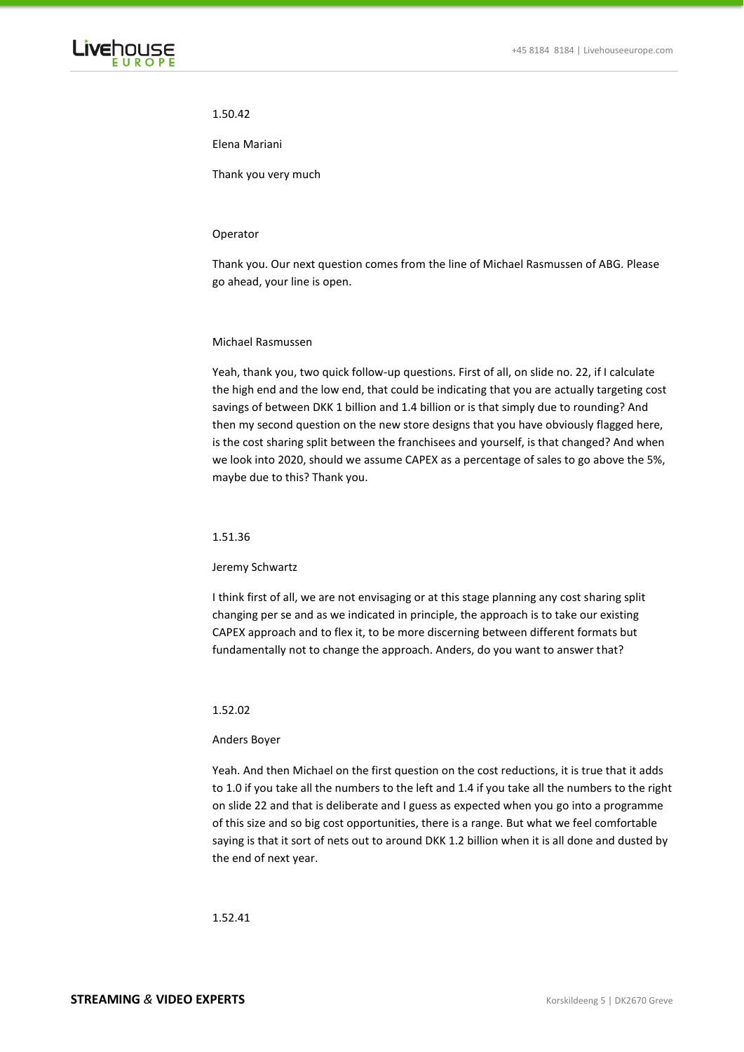# 1.50.42

Elena Mariani

Thank you very much

### Operator

Thank you. Our next question comes from the line of Michael Rasmussen of ABG. Please go ahead, your line is open.

# Michael Rasmussen

Yeah, thank you, two quick follow-up questions. First of all, on slide no. 22, if I calculate the high end and the low end, that could be indicating that you are actually targeting cost savings of between DKK 1 billion and 1.4 billion or is that simply due to rounding? And then my second question on the new store designs that you have obviously flagged here, is the cost sharing split between the franchisees and yourself, is that changed? And when we look into 2020, should we assume CAPEX as a percentage of sales to go above the 5%, maybe due to this? Thank you.

#### 1.51.36

#### Jeremy Schwartz

I think first of all, we are not envisaging or at this stage planning any cost sharing split changing per se and as we indicated in principle, the approach is to take our existing CAPEX approach and to flex it, to be more discerning between different formats but fundamentally not to change the approach. Anders, do you want to answer that?

### 1.52.02

#### Anders Boyer

Yeah. And then Michael on the first question on the cost reductions, it is true that it adds to 1.0 if you take all the numbers to the left and 1.4 if you take all the numbers to the right on slide 22 and that is deliberate and I guess as expected when you go into a programme of this size and so big cost opportunities, there is a range. But what we feel comfortable saying is that it sort of nets out to around DKK 1.2 billion when it is all done and dusted by the end of next year.

# 1.52.41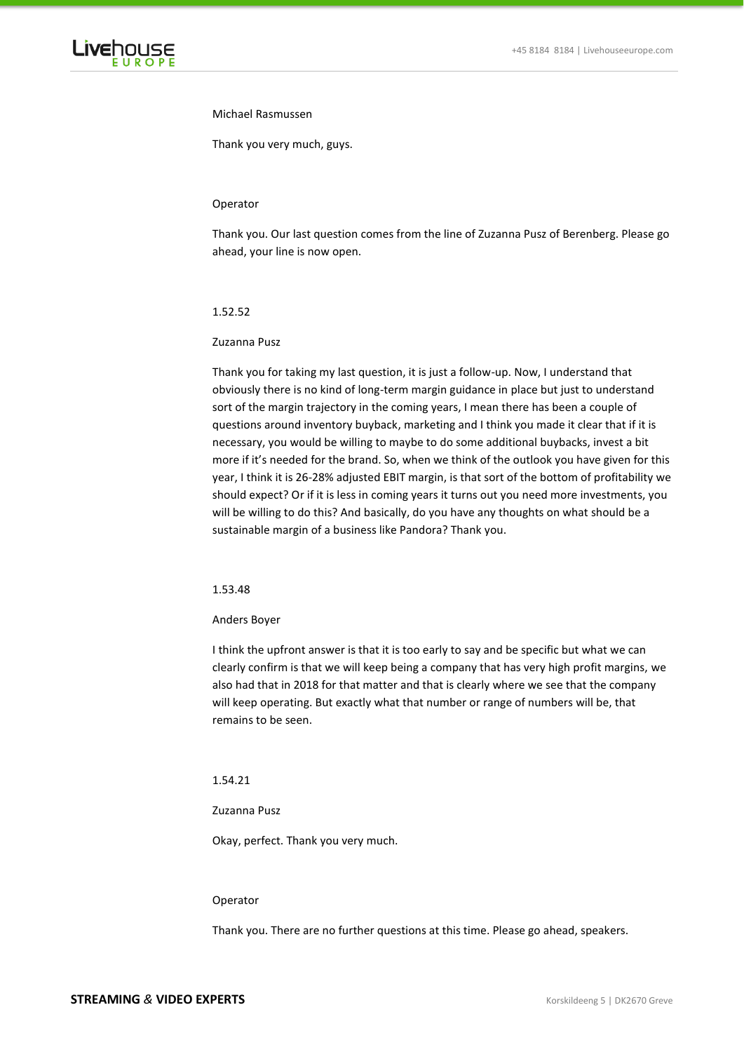

### Michael Rasmussen

Thank you very much, guys.

### Operator

Thank you. Our last question comes from the line of Zuzanna Pusz of Berenberg. Please go ahead, your line is now open.

### 1.52.52

# Zuzanna Pusz

Thank you for taking my last question, it is just a follow-up. Now, I understand that obviously there is no kind of long-term margin guidance in place but just to understand sort of the margin trajectory in the coming years, I mean there has been a couple of questions around inventory buyback, marketing and I think you made it clear that if it is necessary, you would be willing to maybe to do some additional buybacks, invest a bit more if it's needed for the brand. So, when we think of the outlook you have given for this year, I think it is 26-28% adjusted EBIT margin, is that sort of the bottom of profitability we should expect? Or if it is less in coming years it turns out you need more investments, you will be willing to do this? And basically, do you have any thoughts on what should be a sustainable margin of a business like Pandora? Thank you.

# 1.53.48

# Anders Boyer

I think the upfront answer is that it is too early to say and be specific but what we can clearly confirm is that we will keep being a company that has very high profit margins, we also had that in 2018 for that matter and that is clearly where we see that the company will keep operating. But exactly what that number or range of numbers will be, that remains to be seen.

# 1.54.21

#### Zuzanna Pusz

Okay, perfect. Thank you very much.

### Operator

Thank you. There are no further questions at this time. Please go ahead, speakers.